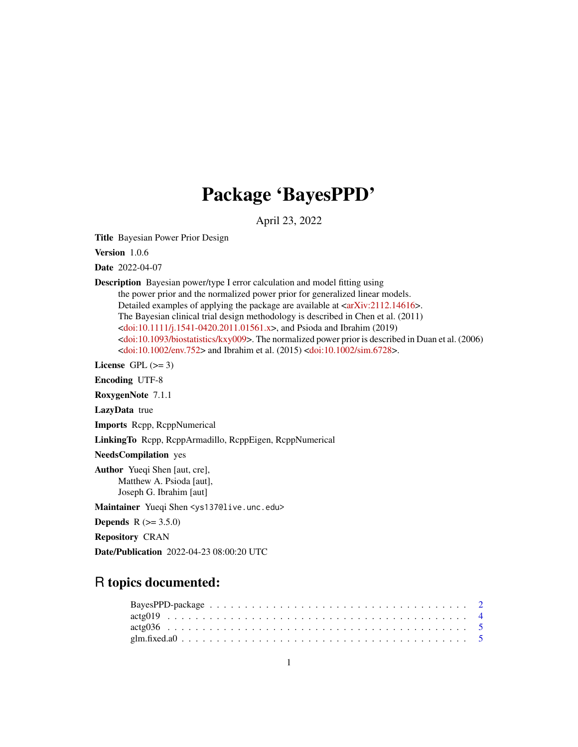## Package 'BayesPPD'

April 23, 2022

Title Bayesian Power Prior Design

Version 1.0.6

Date 2022-04-07

Description Bayesian power/type I error calculation and model fitting using

the power prior and the normalized power prior for generalized linear models. Detailed examples of applying the package are available at  $\langle \ar{Xiv:} 2112.14616 \rangle$ . The Bayesian clinical trial design methodology is described in Chen et al. (2011) [<doi:10.1111/j.1541-0420.2011.01561.x>](https://doi.org/10.1111/j.1541-0420.2011.01561.x), and Psioda and Ibrahim (2019) [<doi:10.1093/biostatistics/kxy009>](https://doi.org/10.1093/biostatistics/kxy009). The normalized power prior is described in Duan et al. (2006) [<doi:10.1002/env.752>](https://doi.org/10.1002/env.752) and Ibrahim et al. (2015) [<doi:10.1002/sim.6728>](https://doi.org/10.1002/sim.6728).

License GPL  $(>= 3)$ 

Encoding UTF-8

RoxygenNote 7.1.1

LazyData true

Imports Rcpp, RcppNumerical

LinkingTo Rcpp, RcppArmadillo, RcppEigen, RcppNumerical

NeedsCompilation yes

Author Yueqi Shen [aut, cre], Matthew A. Psioda [aut], Joseph G. Ibrahim [aut]

Maintainer Yueqi Shen <ys137@live.unc.edu>

**Depends** R  $(>= 3.5.0)$ 

Repository CRAN

Date/Publication 2022-04-23 08:00:20 UTC

## R topics documented: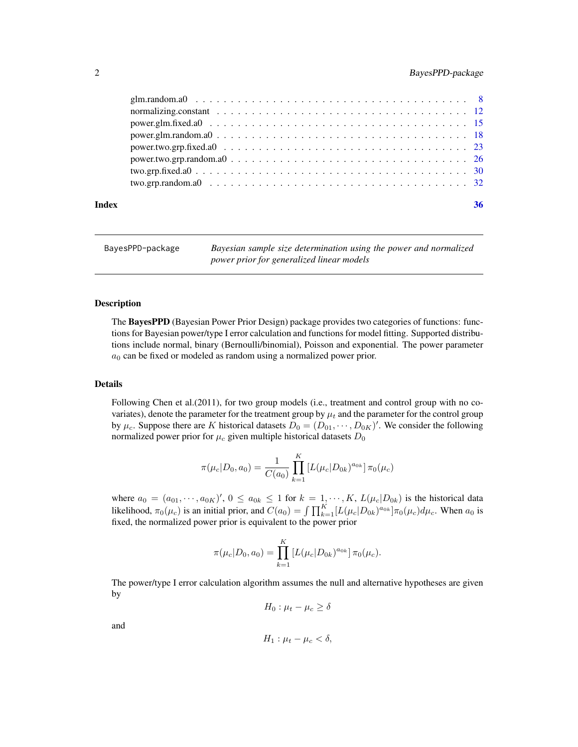<span id="page-1-0"></span>

| $power.glm.random.a0 \ldots \ldots \ldots \ldots \ldots \ldots \ldots \ldots \ldots \ldots \ldots \ldots 18$<br>$power.two.grp.fixed.a0          23$ |  |
|------------------------------------------------------------------------------------------------------------------------------------------------------|--|
|                                                                                                                                                      |  |
|                                                                                                                                                      |  |
|                                                                                                                                                      |  |

BayesPPD-package *Bayesian sample size determination using the power and normalized power prior for generalized linear models*

#### Description

The BayesPPD (Bayesian Power Prior Design) package provides two categories of functions: functions for Bayesian power/type I error calculation and functions for model fitting. Supported distributions include normal, binary (Bernoulli/binomial), Poisson and exponential. The power parameter  $a_0$  can be fixed or modeled as random using a normalized power prior.

## Details

Following Chen et al.(2011), for two group models (i.e., treatment and control group with no covariates), denote the parameter for the treatment group by  $\mu_t$  and the parameter for the control group by  $\mu_c$ . Suppose there are K historical datasets  $D_0 = (D_{01}, \dots, D_{0K})'$ . We consider the following normalized power prior for  $\mu_c$  given multiple historical datasets  $D_0$ 

$$
\pi(\mu_c|D_0, a_0) = \frac{1}{C(a_0)} \prod_{k=1}^K \left[ L(\mu_c|D_{0k})^{a_{0k}} \right] \pi_0(\mu_c)
$$

where  $a_0 = (a_{01}, \dots, a_{0K})'$ ,  $0 \le a_{0k} \le 1$  for  $k = 1, \dots, K$ ,  $L(\mu_c|D_{0k})$  is the historical data likelihood,  $\pi_0(\mu_c)$  is an initial prior, and  $C(a_0) = \int \prod_{k=1}^K [L(\mu_c|D_{0k})^{a_{0k}}] \pi_0(\mu_c) d\mu_c$ . When  $a_0$  is fixed, the normalized power prior is equivalent to the power prior

$$
\pi(\mu_c|D_0, a_0) = \prod_{k=1}^K \left[L(\mu_c|D_{0k})^{a_{0k}}\right] \pi_0(\mu_c).
$$

The power/type I error calculation algorithm assumes the null and alternative hypotheses are given by

$$
H_0: \mu_t - \mu_c \ge \delta
$$

and

$$
H_1: \mu_t - \mu_c < \delta,
$$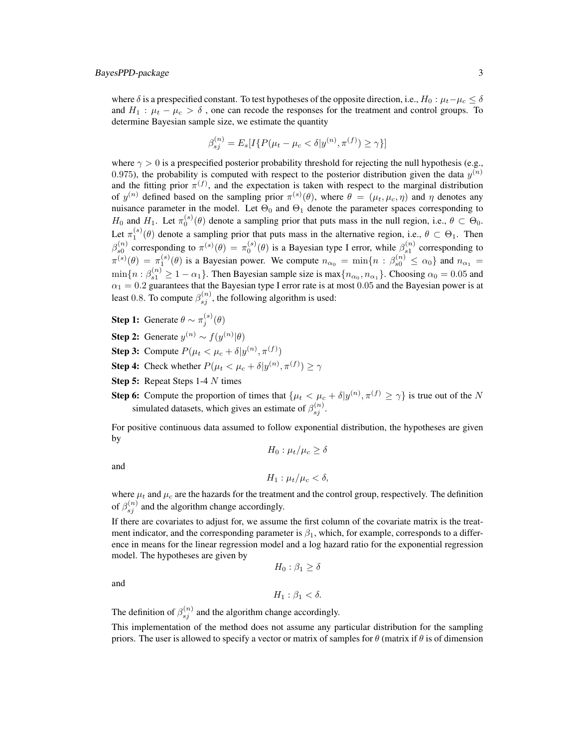where  $\delta$  is a prespecified constant. To test hypotheses of the opposite direction, i.e.,  $H_0: \mu_t-\mu_c \leq \delta$ and  $H_1$ :  $\mu_t - \mu_c > \delta$ , one can recode the responses for the treatment and control groups. To determine Bayesian sample size, we estimate the quantity

$$
\beta_{sj}^{(n)} = E_s[I\{P(\mu_t - \mu_c < \delta | y^{(n)}, \pi^{(f)}) \ge \gamma\}]
$$

where  $\gamma > 0$  is a prespecified posterior probability threshold for rejecting the null hypothesis (e.g., 0.975), the probability is computed with respect to the posterior distribution given the data  $y^{(n)}$ and the fitting prior  $\pi^{(f)}$ , and the expectation is taken with respect to the marginal distribution of  $y^{(n)}$  defined based on the sampling prior  $\pi^{(s)}(\theta)$ , where  $\theta = (\mu_t, \mu_c, \eta)$  and  $\eta$  denotes any nuisance parameter in the model. Let  $\Theta_0$  and  $\Theta_1$  denote the parameter spaces corresponding to  $H_0$  and  $H_1$ . Let  $\pi_0^{(s)}(\theta)$  denote a sampling prior that puts mass in the null region, i.e.,  $\theta \subset \Theta_0$ . Let  $\pi_1^{(s)}(\theta)$  denote a sampling prior that puts mass in the alternative region, i.e.,  $\theta \subset \Theta_1$ . Then  $\beta_{s0}^{(n)}$  corresponding to  $\pi^{(s)}(\theta) = \pi_0^{(s)}(\theta)$  is a Bayesian type I error, while  $\beta_{s1}^{(n)}$  corresponding to  $\pi^{(s)}(\theta) = \pi_1^{(s)}(\theta)$  is a Bayesian power. We compute  $n_{\alpha_0} = \min\{n : \beta_{s0}^{(n)} \leq \alpha_0\}$  and  $n_{\alpha_1} =$  $\min\{n : \beta_{s1}^{(n)} \geq 1 - \alpha_1\}$ . Then Bayesian sample size is  $\max\{n_{\alpha_0}, n_{\alpha_1}\}$ . Choosing  $\alpha_0 = 0.05$  and  $\alpha_1 = 0.2$  guarantees that the Bayesian type I error rate is at most 0.05 and the Bayesian power is at least 0.8. To compute  $\beta_{sj}^{(n)}$ , the following algorithm is used:

- **Step 1:** Generate  $\theta \sim \pi_j^{(s)}(\theta)$
- **Step 2:** Generate  $y^{(n)} \sim f(y^{(n)}|\theta)$
- **Step 3:** Compute  $P(\mu_t < \mu_c + \delta | y^{(n)}, \pi^{(f)})$
- **Step 4:** Check whether  $P(\mu_t < \mu_c + \delta | y^{(n)}, \pi^{(f)}) \ge \gamma$
- **Step 5:** Repeat Steps 1-4 N times
- **Step 6:** Compute the proportion of times that  $\{\mu_t < \mu_c + \delta | y^{(n)}, \pi^{(f)} \ge \gamma\}$  is true out of the N simulated datasets, which gives an estimate of  $\beta_{sj}^{(n)}$ .

For positive continuous data assumed to follow exponential distribution, the hypotheses are given by

$$
H_0: \mu_t/\mu_c \ge \delta
$$
  

$$
H_1: \mu_t/\mu_c < \delta,
$$

where  $\mu_t$  and  $\mu_c$  are the hazards for the treatment and the control group, respectively. The definition of  $\beta_{sj}^{(n)}$  and the algorithm change accordingly.

If there are covariates to adjust for, we assume the first column of the covariate matrix is the treatment indicator, and the corresponding parameter is  $\beta_1$ , which, for example, corresponds to a difference in means for the linear regression model and a log hazard ratio for the exponential regression model. The hypotheses are given by

 $H_0$ :  $\beta_1 \geq \delta$ 

and

and

$$
H_1: \beta_1 < \delta.
$$

The definition of  $\beta_{sj}^{(n)}$  and the algorithm change accordingly.

This implementation of the method does not assume any particular distribution for the sampling priors. The user is allowed to specify a vector or matrix of samples for  $\theta$  (matrix if  $\theta$  is of dimension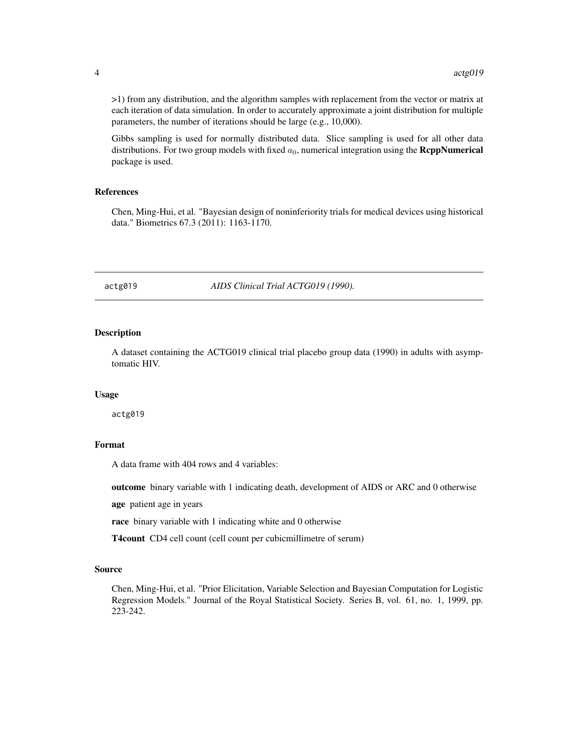<span id="page-3-0"></span>>1) from any distribution, and the algorithm samples with replacement from the vector or matrix at each iteration of data simulation. In order to accurately approximate a joint distribution for multiple parameters, the number of iterations should be large (e.g., 10,000).

Gibbs sampling is used for normally distributed data. Slice sampling is used for all other data distributions. For two group models with fixed  $a_0$ , numerical integration using the **RcppNumerical** package is used.

## References

Chen, Ming-Hui, et al. "Bayesian design of noninferiority trials for medical devices using historical data." Biometrics 67.3 (2011): 1163-1170.

actg019 *AIDS Clinical Trial ACTG019 (1990).*

#### **Description**

A dataset containing the ACTG019 clinical trial placebo group data (1990) in adults with asymptomatic HIV.

#### Usage

actg019

#### Format

A data frame with 404 rows and 4 variables:

outcome binary variable with 1 indicating death, development of AIDS or ARC and 0 otherwise

age patient age in years

race binary variable with 1 indicating white and 0 otherwise

T4count CD4 cell count (cell count per cubicmillimetre of serum)

#### Source

Chen, Ming-Hui, et al. "Prior Elicitation, Variable Selection and Bayesian Computation for Logistic Regression Models." Journal of the Royal Statistical Society. Series B, vol. 61, no. 1, 1999, pp. 223-242.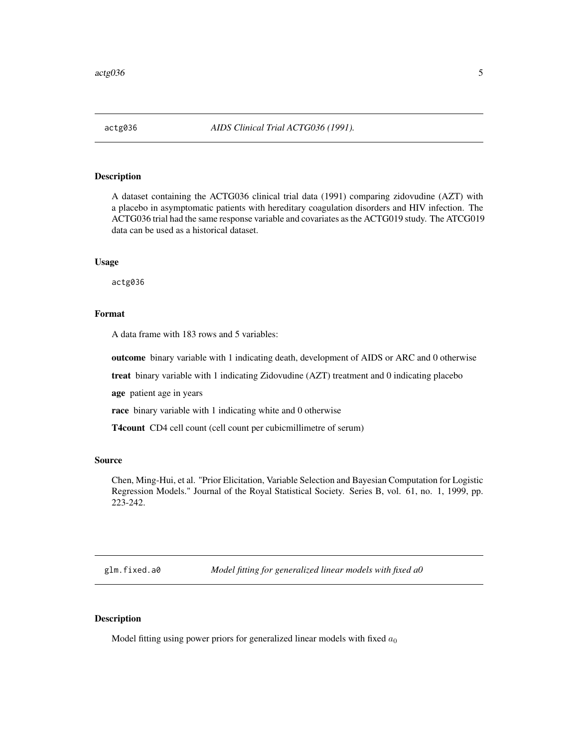<span id="page-4-0"></span>

## Description

A dataset containing the ACTG036 clinical trial data (1991) comparing zidovudine (AZT) with a placebo in asymptomatic patients with hereditary coagulation disorders and HIV infection. The ACTG036 trial had the same response variable and covariates as the ACTG019 study. The ATCG019 data can be used as a historical dataset.

#### Usage

actg036

#### Format

A data frame with 183 rows and 5 variables:

outcome binary variable with 1 indicating death, development of AIDS or ARC and 0 otherwise

treat binary variable with 1 indicating Zidovudine (AZT) treatment and 0 indicating placebo

age patient age in years

race binary variable with 1 indicating white and 0 otherwise

T4count CD4 cell count (cell count per cubicmillimetre of serum)

#### Source

Chen, Ming-Hui, et al. "Prior Elicitation, Variable Selection and Bayesian Computation for Logistic Regression Models." Journal of the Royal Statistical Society. Series B, vol. 61, no. 1, 1999, pp. 223-242.

<span id="page-4-1"></span>glm.fixed.a0 *Model fitting for generalized linear models with fixed a0*

## Description

Model fitting using power priors for generalized linear models with fixed  $a_0$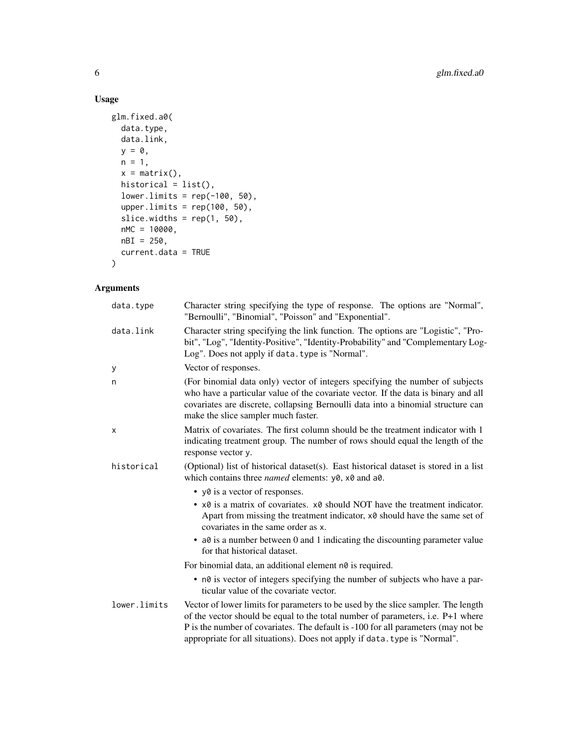## Usage

```
glm.fixed.a0(
 data.type,
 data.link,
 y = 0,
 n = 1,x = matrix(),
 historical = list(),
 lower.linalg = rep(-100, 50),upper.limits = rep(100, 50),
  slice.widths = rep(1, 50),
 nMC = 10000,
 nBI = 250,
 current.data = TRUE
)
```

| data.type    | Character string specifying the type of response. The options are "Normal",<br>"Bernoulli", "Binomial", "Poisson" and "Exponential".                                                                                                                                                                                                    |
|--------------|-----------------------------------------------------------------------------------------------------------------------------------------------------------------------------------------------------------------------------------------------------------------------------------------------------------------------------------------|
| data.link    | Character string specifying the link function. The options are "Logistic", "Pro-<br>bit", "Log", "Identity-Positive", "Identity-Probability" and "Complementary Log-<br>Log". Does not apply if data. type is "Normal".                                                                                                                 |
| У            | Vector of responses.                                                                                                                                                                                                                                                                                                                    |
| n            | (For binomial data only) vector of integers specifying the number of subjects<br>who have a particular value of the covariate vector. If the data is binary and all<br>covariates are discrete, collapsing Bernoulli data into a binomial structure can<br>make the slice sampler much faster.                                          |
| х            | Matrix of covariates. The first column should be the treatment indicator with 1<br>indicating treatment group. The number of rows should equal the length of the<br>response vector y.                                                                                                                                                  |
| historical   | (Optional) list of historical dataset(s). East historical dataset is stored in a list<br>which contains three <i>named</i> elements: $y0$ , $x0$ and $a0$ .                                                                                                                                                                             |
|              | • yo is a vector of responses.                                                                                                                                                                                                                                                                                                          |
|              | • $\times$ 8 is a matrix of covariates. $\times$ 8 should NOT have the treatment indicator.<br>Apart from missing the treatment indicator, x0 should have the same set of<br>covariates in the same order as x.                                                                                                                         |
|              | $\bullet$ a0 is a number between 0 and 1 indicating the discounting parameter value<br>for that historical dataset.                                                                                                                                                                                                                     |
|              | For binomial data, an additional element n0 is required.                                                                                                                                                                                                                                                                                |
|              | • n0 is vector of integers specifying the number of subjects who have a par-<br>ticular value of the covariate vector.                                                                                                                                                                                                                  |
| lower.limits | Vector of lower limits for parameters to be used by the slice sampler. The length<br>of the vector should be equal to the total number of parameters, i.e. P+1 where<br>P is the number of covariates. The default is -100 for all parameters (may not be<br>appropriate for all situations). Does not apply if data. type is "Normal". |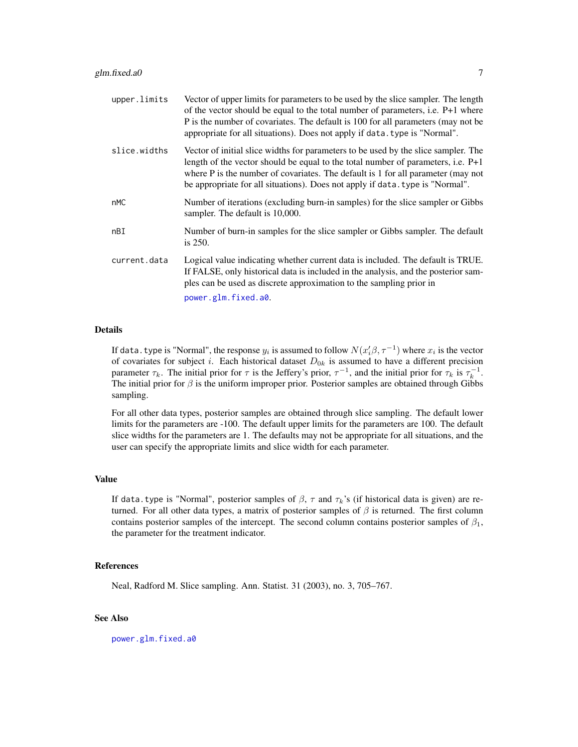<span id="page-6-0"></span>

| upper.limits | Vector of upper limits for parameters to be used by the slice sampler. The length<br>of the vector should be equal to the total number of parameters, i.e. P+1 where<br>P is the number of covariates. The default is 100 for all parameters (may not be<br>appropriate for all situations). Does not apply if data. type is "Normal".        |
|--------------|-----------------------------------------------------------------------------------------------------------------------------------------------------------------------------------------------------------------------------------------------------------------------------------------------------------------------------------------------|
| slice.widths | Vector of initial slice widths for parameters to be used by the slice sampler. The<br>length of the vector should be equal to the total number of parameters, i.e. $P+1$<br>where P is the number of covariates. The default is 1 for all parameter (may not<br>be appropriate for all situations). Does not apply if data. type is "Normal". |
| nMC          | Number of iterations (excluding burn-in samples) for the slice sampler or Gibbs<br>sampler. The default is 10,000.                                                                                                                                                                                                                            |
| nBI          | Number of burn-in samples for the slice sampler or Gibbs sampler. The default<br>is $250$ .                                                                                                                                                                                                                                                   |
| current.data | Logical value indicating whether current data is included. The default is TRUE.<br>If FALSE, only historical data is included in the analysis, and the posterior sam-<br>ples can be used as discrete approximation to the sampling prior in                                                                                                  |
|              | power.glm.fixed.a0.                                                                                                                                                                                                                                                                                                                           |

If data. type is "Normal", the response  $y_i$  is assumed to follow  $N(x_i'\beta, \tau^{-1})$  where  $x_i$  is the vector of covariates for subject i. Each historical dataset  $D_{0k}$  is assumed to have a different precision parameter  $\tau_k$ . The initial prior for  $\tau$  is the Jeffery's prior,  $\tau^{-1}$ , and the initial prior for  $\tau_k$  is  $\tau_k^{-1}$ . The initial prior for  $\beta$  is the uniform improper prior. Posterior samples are obtained through Gibbs sampling.

For all other data types, posterior samples are obtained through slice sampling. The default lower limits for the parameters are -100. The default upper limits for the parameters are 100. The default slice widths for the parameters are 1. The defaults may not be appropriate for all situations, and the user can specify the appropriate limits and slice width for each parameter.

#### Value

If data.type is "Normal", posterior samples of  $\beta$ ,  $\tau$  and  $\tau_k$ 's (if historical data is given) are returned. For all other data types, a matrix of posterior samples of  $\beta$  is returned. The first column contains posterior samples of the intercept. The second column contains posterior samples of  $\beta_1$ , the parameter for the treatment indicator.

## References

Neal, Radford M. Slice sampling. Ann. Statist. 31 (2003), no. 3, 705–767.

#### See Also

[power.glm.fixed.a0](#page-14-1)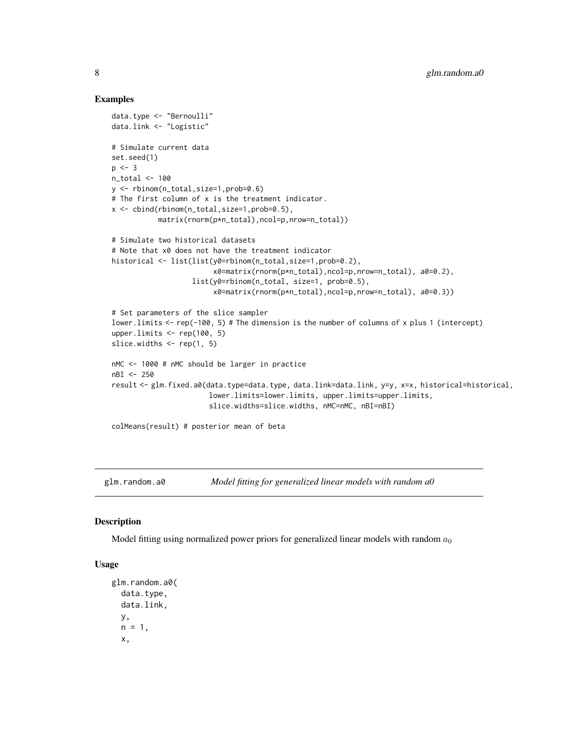#### Examples

```
data.type <- "Bernoulli"
data.link <- "Logistic"
# Simulate current data
set.seed(1)
p \le -3n_total <- 100
y <- rbinom(n_total,size=1,prob=0.6)
# The first column of x is the treatment indicator.
x <- cbind(rbinom(n_total,size=1,prob=0.5),
           matrix(rnorm(p*n_total),ncol=p,nrow=n_total))
# Simulate two historical datasets
# Note that x0 does not have the treatment indicator
historical <- list(list(y0=rbinom(n_total,size=1,prob=0.2),
                        x0=matrix(rnorm(p*n_total),ncol=p,nrow=n_total), a0=0.2),
                   list(y0=rbinom(n_total, size=1, prob=0.5),
                        x0=matrix(rnorm(p*n_total),ncol=p,nrow=n_total), a0=0.3))
# Set parameters of the slice sampler
lower.limits <- rep(-100, 5) # The dimension is the number of columns of x plus 1 (intercept)
upper.limits \leq rep(100, 5)
slice.widths \leq rep(1, 5)
nMC <- 1000 # nMC should be larger in practice
nBI <- 250
result <- glm.fixed.a0(data.type=data.type, data.link=data.link, y=y, x=x, historical=historical,
                       lower.limits=lower.limits, upper.limits=upper.limits,
                       slice.widths=slice.widths, nMC=nMC, nBI=nBI)
colMeans(result) # posterior mean of beta
```
<span id="page-7-1"></span>

glm.random.a0 *Model fitting for generalized linear models with random a0*

#### Description

Model fitting using normalized power priors for generalized linear models with random  $a_0$ 

### Usage

```
glm.random.a0(
 data.type,
  data.link,
  y,
  n = 1,
  x,
```
<span id="page-7-0"></span>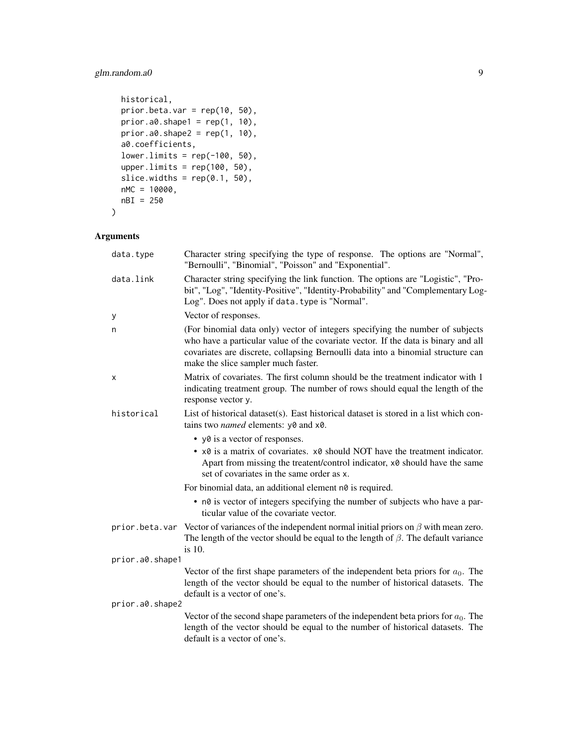## glm.random.a0 9

```
historical,
 prior.beta.var = rep(10, 50),
 prior.a0.shape1 = \text{rep}(1, 10),
 prior.a0.shape2 = rep(1, 10),a0.coefficients,
  lower.linalg = rep(-100, 50),upper.limits = rep(100, 50),
  slice.widths = rep(0.1, 50),
 nMC = 10000,
 nBI = 250
\mathcal{L}
```

| data.type       | Character string specifying the type of response. The options are "Normal",<br>"Bernoulli", "Binomial", "Poisson" and "Exponential".                                                                                                                                                           |
|-----------------|------------------------------------------------------------------------------------------------------------------------------------------------------------------------------------------------------------------------------------------------------------------------------------------------|
| data.link       | Character string specifying the link function. The options are "Logistic", "Pro-<br>bit", "Log", "Identity-Positive", "Identity-Probability" and "Complementary Log-<br>Log". Does not apply if data. type is "Normal".                                                                        |
| y               | Vector of responses.                                                                                                                                                                                                                                                                           |
| n               | (For binomial data only) vector of integers specifying the number of subjects<br>who have a particular value of the covariate vector. If the data is binary and all<br>covariates are discrete, collapsing Bernoulli data into a binomial structure can<br>make the slice sampler much faster. |
| x               | Matrix of covariates. The first column should be the treatment indicator with 1<br>indicating treatment group. The number of rows should equal the length of the<br>response vector y.                                                                                                         |
| historical      | List of historical dataset(s). East historical dataset is stored in a list which con-<br>tains two <i>named</i> elements: y0 and x0.                                                                                                                                                           |
|                 | • y0 is a vector of responses.                                                                                                                                                                                                                                                                 |
|                 | • $\times$ 8 is a matrix of covariates. $\times$ 8 should NOT have the treatment indicator.<br>Apart from missing the treatent/control indicator, x0 should have the same<br>set of covariates in the same order as x.                                                                         |
|                 | For binomial data, an additional element n0 is required.                                                                                                                                                                                                                                       |
|                 | • n0 is vector of integers specifying the number of subjects who have a par-<br>ticular value of the covariate vector.                                                                                                                                                                         |
|                 | prior . beta. var Vector of variances of the independent normal initial priors on $\beta$ with mean zero.<br>The length of the vector should be equal to the length of $\beta$ . The default variance<br>is 10.                                                                                |
| prior.a0.shape1 |                                                                                                                                                                                                                                                                                                |
|                 | Vector of the first shape parameters of the independent beta priors for $a_0$ . The<br>length of the vector should be equal to the number of historical datasets. The<br>default is a vector of one's.                                                                                         |
| prior.a0.shape2 |                                                                                                                                                                                                                                                                                                |
|                 | Vector of the second shape parameters of the independent beta priors for $a_0$ . The<br>length of the vector should be equal to the number of historical datasets. The<br>default is a vector of one's.                                                                                        |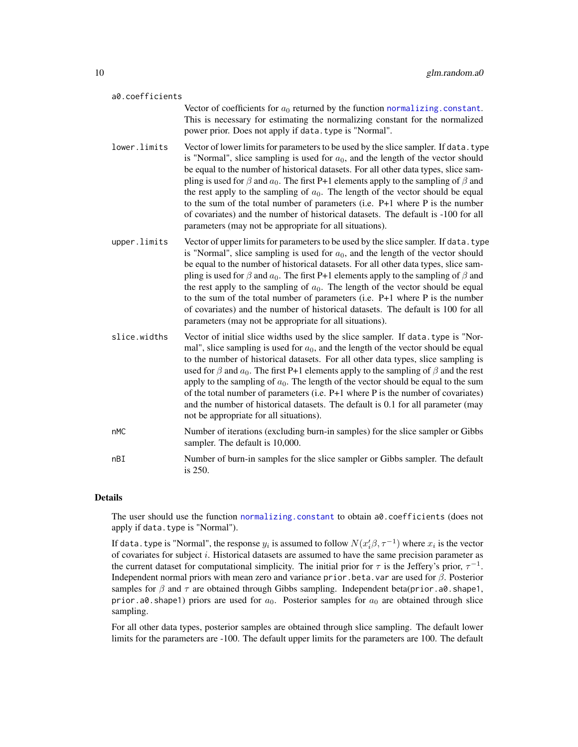<span id="page-9-0"></span>

| a0.coefficients |                                                                                                                                                                                                                                                                                                                                                                                                                                                                                                                                                                                                                                                                                                 |
|-----------------|-------------------------------------------------------------------------------------------------------------------------------------------------------------------------------------------------------------------------------------------------------------------------------------------------------------------------------------------------------------------------------------------------------------------------------------------------------------------------------------------------------------------------------------------------------------------------------------------------------------------------------------------------------------------------------------------------|
|                 | Vector of coefficients for $a_0$ returned by the function normalizing. constant.<br>This is necessary for estimating the normalizing constant for the normalized<br>power prior. Does not apply if data. type is "Normal".                                                                                                                                                                                                                                                                                                                                                                                                                                                                      |
| lower.limits    | Vector of lower limits for parameters to be used by the slice sampler. If data. type<br>is "Normal", slice sampling is used for $a_0$ , and the length of the vector should<br>be equal to the number of historical datasets. For all other data types, slice sam-<br>pling is used for $\beta$ and $a_0$ . The first P+1 elements apply to the sampling of $\beta$ and<br>the rest apply to the sampling of $a_0$ . The length of the vector should be equal<br>to the sum of the total number of parameters (i.e. $P+1$ where P is the number<br>of covariates) and the number of historical datasets. The default is -100 for all<br>parameters (may not be appropriate for all situations). |
| upper.limits    | Vector of upper limits for parameters to be used by the slice sampler. If data. type<br>is "Normal", slice sampling is used for $a_0$ , and the length of the vector should<br>be equal to the number of historical datasets. For all other data types, slice sam-<br>pling is used for $\beta$ and $a_0$ . The first P+1 elements apply to the sampling of $\beta$ and<br>the rest apply to the sampling of $a_0$ . The length of the vector should be equal<br>to the sum of the total number of parameters (i.e. $P+1$ where P is the number<br>of covariates) and the number of historical datasets. The default is 100 for all<br>parameters (may not be appropriate for all situations).  |
| slice.widths    | Vector of initial slice widths used by the slice sampler. If data.type is "Nor-<br>mal", slice sampling is used for $a_0$ , and the length of the vector should be equal<br>to the number of historical datasets. For all other data types, slice sampling is<br>used for $\beta$ and $a_0$ . The first P+1 elements apply to the sampling of $\beta$ and the rest<br>apply to the sampling of $a_0$ . The length of the vector should be equal to the sum<br>of the total number of parameters (i.e. $P+1$ where P is the number of covariates)<br>and the number of historical datasets. The default is 0.1 for all parameter (may<br>not be appropriate for all situations).                 |
| nMC             | Number of iterations (excluding burn-in samples) for the slice sampler or Gibbs<br>sampler. The default is 10,000.                                                                                                                                                                                                                                                                                                                                                                                                                                                                                                                                                                              |
| nBI             | Number of burn-in samples for the slice sampler or Gibbs sampler. The default<br>is 250.                                                                                                                                                                                                                                                                                                                                                                                                                                                                                                                                                                                                        |

The user should use the function [normalizing.constant](#page-11-1) to obtain a0.coefficients (does not apply if data.type is "Normal").

If data. type is "Normal", the response  $y_i$  is assumed to follow  $N(x_i'\beta,\tau^{-1})$  where  $x_i$  is the vector of covariates for subject  $i$ . Historical datasets are assumed to have the same precision parameter as the current dataset for computational simplicity. The initial prior for  $\tau$  is the Jeffery's prior,  $\tau^{-1}$ . Independent normal priors with mean zero and variance prior.beta.var are used for  $\beta$ . Posterior samples for  $\beta$  and  $\tau$  are obtained through Gibbs sampling. Independent beta(prior.a0.shape1, prior.a0.shape1) priors are used for  $a_0$ . Posterior samples for  $a_0$  are obtained through slice sampling.

For all other data types, posterior samples are obtained through slice sampling. The default lower limits for the parameters are -100. The default upper limits for the parameters are 100. The default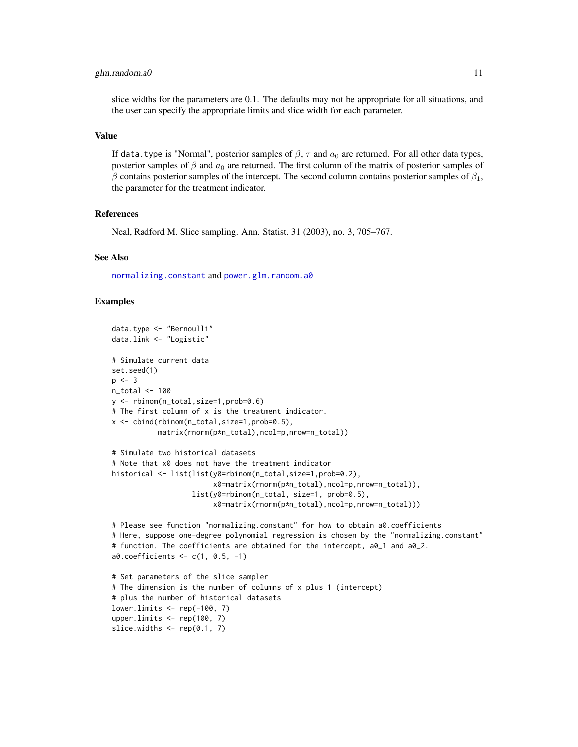#### <span id="page-10-0"></span>glm.random.a0 11

slice widths for the parameters are 0.1. The defaults may not be appropriate for all situations, and the user can specify the appropriate limits and slice width for each parameter.

#### Value

If data.type is "Normal", posterior samples of  $\beta$ ,  $\tau$  and  $a_0$  are returned. For all other data types, posterior samples of  $\beta$  and  $a_0$  are returned. The first column of the matrix of posterior samples of  $\beta$  contains posterior samples of the intercept. The second column contains posterior samples of  $\beta_1$ , the parameter for the treatment indicator.

#### References

Neal, Radford M. Slice sampling. Ann. Statist. 31 (2003), no. 3, 705–767.

#### See Also

[normalizing.constant](#page-11-1) and [power.glm.random.a0](#page-17-1)

#### Examples

```
data.type <- "Bernoulli"
data.link <- "Logistic"
# Simulate current data
set.seed(1)
p \le -3n_total <- 100
y <- rbinom(n_total,size=1,prob=0.6)
# The first column of x is the treatment indicator.
x <- cbind(rbinom(n_total,size=1,prob=0.5),
           matrix(rnorm(p*n_total),ncol=p,nrow=n_total))
# Simulate two historical datasets
# Note that x0 does not have the treatment indicator
historical <- list(list(y0=rbinom(n_total,size=1,prob=0.2),
                        x0=matrix(rnorm(p*n_total),ncol=p,nrow=n_total)),
                   list(y0=rbinom(n_total, size=1, prob=0.5),
                        x0=matrix(rnorm(p*n_total),ncol=p,nrow=n_total)))
# Please see function "normalizing.constant" for how to obtain a0.coefficients
# Here, suppose one-degree polynomial regression is chosen by the "normalizing.constant"
# function. The coefficients are obtained for the intercept, a0_1 and a0_2.
a0.coefficients <- c(1, 0.5, -1)
# Set parameters of the slice sampler
# The dimension is the number of columns of x plus 1 (intercept)
# plus the number of historical datasets
lower.limits \leq rep(-100, 7)
upper.limits <- rep(100, 7)
slice.widths \leq rep(0.1, 7)
```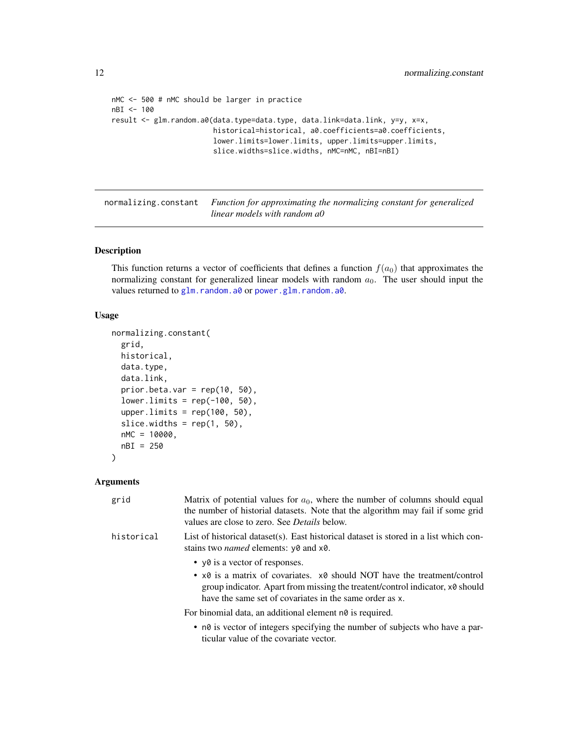```
nMC <- 500 # nMC should be larger in practice
nBI <- 100
result <- glm.random.a0(data.type=data.type, data.link=data.link, y=y, x=x,
                        historical=historical, a0.coefficients=a0.coefficients,
                        lower.limits=lower.limits, upper.limits=upper.limits,
                        slice.widths=slice.widths, nMC=nMC, nBI=nBI)
```
<span id="page-11-1"></span>normalizing.constant *Function for approximating the normalizing constant for generalized linear models with random a0*

#### Description

This function returns a vector of coefficients that defines a function  $f(a_0)$  that approximates the normalizing constant for generalized linear models with random  $a_0$ . The user should input the values returned to [glm.random.a0](#page-7-1) or [power.glm.random.a0](#page-17-1).

#### Usage

```
normalizing.constant(
  grid,
 historical,
  data.type,
  data.link,
  prior.beta.var = rep(10, 50),
  lower.linalg = rep(-100, 50),upper.limits = rep(100, 50),
  slice.widths = rep(1, 50),
 nMC = 10000,
 nBI = 250
)
```

| grid       | Matrix of potential values for $a_0$ , where the number of columns should equal<br>the number of historial datasets. Note that the algorithm may fail if some grid<br>values are close to zero. See <i>Details</i> below. |
|------------|---------------------------------------------------------------------------------------------------------------------------------------------------------------------------------------------------------------------------|
| historical | List of historical dataset(s). East historical dataset is stored in a list which con-<br>stains two <i>named</i> elements: y0 and x0.                                                                                     |
|            | • $\vee$ v $\theta$ is a vector of responses.                                                                                                                                                                             |
|            | • x0 is a matrix of covariates. x0 should NOT have the treatment/control<br>group indicator. Apart from missing the treatent/control indicator, x0 should<br>have the same set of covariates in the same order as x.      |
|            | For binomial data, an additional element n0 is required.                                                                                                                                                                  |
|            | • n0 is vector of integers specifying the number of subjects who have a par-<br>ticular value of the covariate vector.                                                                                                    |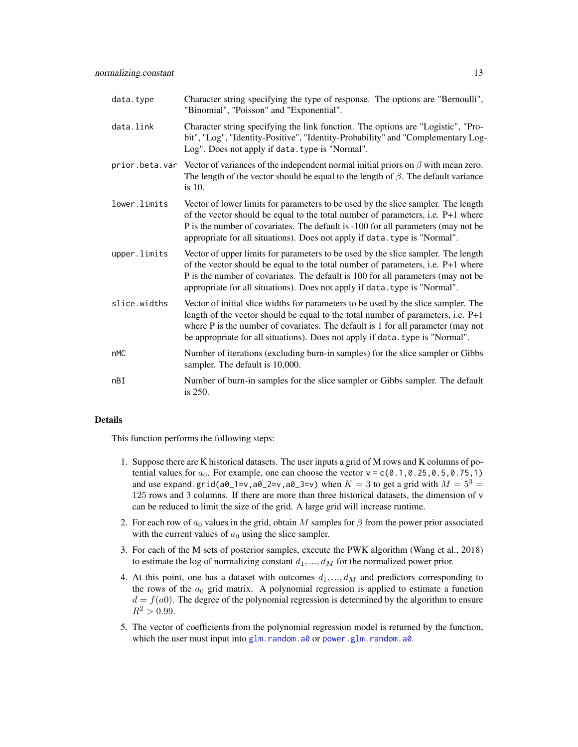| data.type    | Character string specifying the type of response. The options are "Bernoulli",<br>"Binomial", "Poisson" and "Exponential".                                                                                                                                                                                                                    |
|--------------|-----------------------------------------------------------------------------------------------------------------------------------------------------------------------------------------------------------------------------------------------------------------------------------------------------------------------------------------------|
| data.link    | Character string specifying the link function. The options are "Logistic", "Pro-<br>bit", "Log", "Identity-Positive", "Identity-Probability" and "Complementary Log-<br>Log". Does not apply if data. type is "Normal".                                                                                                                       |
|              | prior beta var Vector of variances of the independent normal initial priors on $\beta$ with mean zero.<br>The length of the vector should be equal to the length of $\beta$ . The default variance<br>is 10.                                                                                                                                  |
| lower.limits | Vector of lower limits for parameters to be used by the slice sampler. The length<br>of the vector should be equal to the total number of parameters, i.e. P+1 where<br>P is the number of covariates. The default is -100 for all parameters (may not be<br>appropriate for all situations). Does not apply if data. type is "Normal".       |
| upper.limits | Vector of upper limits for parameters to be used by the slice sampler. The length<br>of the vector should be equal to the total number of parameters, i.e. P+1 where<br>P is the number of covariates. The default is 100 for all parameters (may not be<br>appropriate for all situations). Does not apply if data. type is "Normal".        |
| slice.widths | Vector of initial slice widths for parameters to be used by the slice sampler. The<br>length of the vector should be equal to the total number of parameters, i.e. $P+1$<br>where P is the number of covariates. The default is 1 for all parameter (may not<br>be appropriate for all situations). Does not apply if data. type is "Normal". |
| nMC          | Number of iterations (excluding burn-in samples) for the slice sampler or Gibbs<br>sampler. The default is 10,000.                                                                                                                                                                                                                            |
| nBI          | Number of burn-in samples for the slice sampler or Gibbs sampler. The default<br>is 250.                                                                                                                                                                                                                                                      |

This function performs the following steps:

- 1. Suppose there are K historical datasets. The user inputs a grid of M rows and K columns of potential values for  $a_0$ . For example, one can choose the vector  $v = c(0.1, 0.25, 0.5, 0.75, 1)$ and use expand.grid(a0\_1=v,a0\_2=v,a0\_3=v) when  $K = 3$  to get a grid with  $M = 5^3$  = 125 rows and 3 columns. If there are more than three historical datasets, the dimension of v can be reduced to limit the size of the grid. A large grid will increase runtime.
- 2. For each row of  $a_0$  values in the grid, obtain M samples for  $\beta$  from the power prior associated with the current values of  $a_0$  using the slice sampler.
- 3. For each of the M sets of posterior samples, execute the PWK algorithm (Wang et al., 2018) to estimate the log of normalizing constant  $d_1, ..., d_M$  for the normalized power prior.
- 4. At this point, one has a dataset with outcomes  $d_1, ..., d_M$  and predictors corresponding to the rows of the  $a_0$  grid matrix. A polynomial regression is applied to estimate a function  $d = f(a0)$ . The degree of the polynomial regression is determined by the algorithm to ensure  $R^2 > 0.99$ .
- 5. The vector of coefficients from the polynomial regression model is returned by the function, which the user must input into [glm.random.a0](#page-7-1) or [power.glm.random.a0](#page-17-1).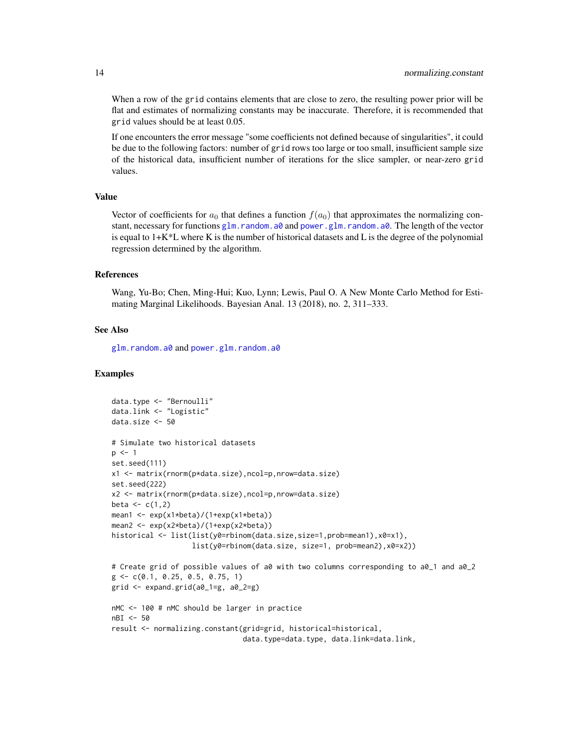When a row of the grid contains elements that are close to zero, the resulting power prior will be flat and estimates of normalizing constants may be inaccurate. Therefore, it is recommended that grid values should be at least 0.05.

If one encounters the error message "some coefficients not defined because of singularities", it could be due to the following factors: number of grid rows too large or too small, insufficient sample size of the historical data, insufficient number of iterations for the slice sampler, or near-zero grid values.

## Value

Vector of coefficients for  $a_0$  that defines a function  $f(a_0)$  that approximates the normalizing constant, necessary for functions [glm.random.a0](#page-7-1) and [power.glm.random.a0](#page-17-1). The length of the vector is equal to  $1+K^*L$  where K is the number of historical datasets and L is the degree of the polynomial regression determined by the algorithm.

## References

Wang, Yu-Bo; Chen, Ming-Hui; Kuo, Lynn; Lewis, Paul O. A New Monte Carlo Method for Estimating Marginal Likelihoods. Bayesian Anal. 13 (2018), no. 2, 311–333.

#### See Also

[glm.random.a0](#page-7-1) and [power.glm.random.a0](#page-17-1)

#### Examples

```
data.type <- "Bernoulli"
data.link <- "Logistic"
data.size <- 50
# Simulate two historical datasets
p \le -1set.seed(111)
x1 <- matrix(rnorm(p*data.size),ncol=p,nrow=data.size)
set.seed(222)
x2 <- matrix(rnorm(p*data.size),ncol=p,nrow=data.size)
beta \leq c(1,2)mean1 <- exp(x1*beta)/(1+exp(x1*beta))
mean2 <- exp(x2*beta)/(1+exp(x2*beta))
historical <- list(list(y0=rbinom(data.size,size=1,prob=mean1),x0=x1),
                   list(y0=rbinom(data.size, size=1, prob=mean2),x0=x2))
# Create grid of possible values of a0 with two columns corresponding to a0_1 and a0_2
g \leftarrow c(0.1, 0.25, 0.5, 0.75, 1)grid \leftarrow expand.grid(a0_1=g, a0_2=g)nMC <- 100 # nMC should be larger in practice
nBI <- 50
result <- normalizing.constant(grid=grid, historical=historical,
                                data.type=data.type, data.link=data.link,
```
<span id="page-13-0"></span>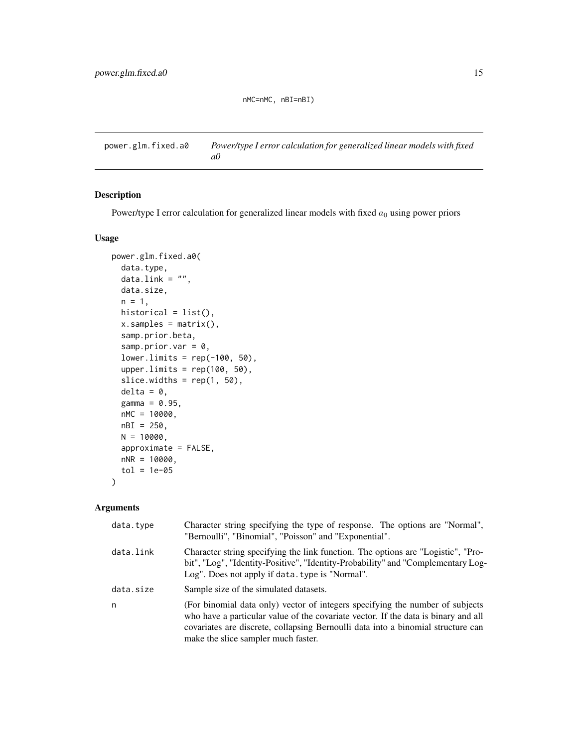## nMC=nMC, nBI=nBI)

<span id="page-14-1"></span><span id="page-14-0"></span>power.glm.fixed.a0 *Power/type I error calculation for generalized linear models with fixed a0*

## Description

Power/type I error calculation for generalized linear models with fixed  $a_0$  using power priors

#### Usage

```
power.glm.fixed.a0(
  data.type,
  data.link = "",data.size,
 n = 1,
 historical = list(),
  x.\text{samples} = \text{matrix}(),
  samp.prior.beta,
  samp.prior.var = 0,
  lower.limits = rep(-100, 50),
  upper.limits = rep(100, 50),
  slice.widths = rep(1, 50),
  delta = 0,
  gamma = 0.95,
 nMC = 10000,
 nBI = 250,
 N = 10000,approximate = FALSE,
 nNR = 10000,tol = 1e-05\mathcal{L}
```

| data.type | Character string specifying the type of response. The options are "Normal",<br>"Bernoulli", "Binomial", "Poisson" and "Exponential".                                                                                                                                                           |
|-----------|------------------------------------------------------------------------------------------------------------------------------------------------------------------------------------------------------------------------------------------------------------------------------------------------|
| data.link | Character string specifying the link function. The options are "Logistic", "Pro-<br>bit", "Log", "Identity-Positive", "Identity-Probability" and "Complementary Log-<br>Log". Does not apply if data. type is "Normal".                                                                        |
| data.size | Sample size of the simulated datasets.                                                                                                                                                                                                                                                         |
| n         | (For binomial data only) vector of integers specifying the number of subjects<br>who have a particular value of the covariate vector. If the data is binary and all<br>covariates are discrete, collapsing Bernoulli data into a binomial structure can<br>make the slice sampler much faster. |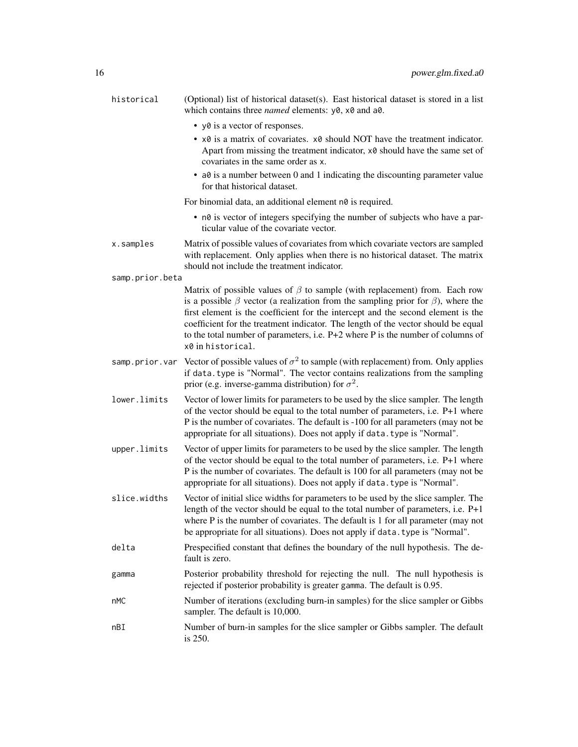| historical      | (Optional) list of historical dataset(s). East historical dataset is stored in a list<br>which contains three <i>named</i> elements: y0, x0 and a0.                                                                                                                                                                                                                                                                                                               |
|-----------------|-------------------------------------------------------------------------------------------------------------------------------------------------------------------------------------------------------------------------------------------------------------------------------------------------------------------------------------------------------------------------------------------------------------------------------------------------------------------|
|                 | • y0 is a vector of responses.                                                                                                                                                                                                                                                                                                                                                                                                                                    |
|                 | • $\times$ 8 is a matrix of covariates. $\times$ 8 should NOT have the treatment indicator.<br>Apart from missing the treatment indicator, x0 should have the same set of<br>covariates in the same order as x.                                                                                                                                                                                                                                                   |
|                 | • a0 is a number between 0 and 1 indicating the discounting parameter value<br>for that historical dataset.                                                                                                                                                                                                                                                                                                                                                       |
|                 | For binomial data, an additional element n0 is required.                                                                                                                                                                                                                                                                                                                                                                                                          |
|                 | • n0 is vector of integers specifying the number of subjects who have a par-<br>ticular value of the covariate vector.                                                                                                                                                                                                                                                                                                                                            |
| x.samples       | Matrix of possible values of covariates from which covariate vectors are sampled<br>with replacement. Only applies when there is no historical dataset. The matrix<br>should not include the treatment indicator.                                                                                                                                                                                                                                                 |
| samp.prior.beta |                                                                                                                                                                                                                                                                                                                                                                                                                                                                   |
|                 | Matrix of possible values of $\beta$ to sample (with replacement) from. Each row<br>is a possible $\beta$ vector (a realization from the sampling prior for $\beta$ ), where the<br>first element is the coefficient for the intercept and the second element is the<br>coefficient for the treatment indicator. The length of the vector should be equal<br>to the total number of parameters, i.e. P+2 where P is the number of columns of<br>x0 in historical. |
|                 | samp prior var Vector of possible values of $\sigma^2$ to sample (with replacement) from. Only applies<br>if data. type is "Normal". The vector contains realizations from the sampling<br>prior (e.g. inverse-gamma distribution) for $\sigma^2$ .                                                                                                                                                                                                               |
| lower.limits    | Vector of lower limits for parameters to be used by the slice sampler. The length<br>of the vector should be equal to the total number of parameters, i.e. P+1 where<br>P is the number of covariates. The default is -100 for all parameters (may not be<br>appropriate for all situations). Does not apply if data. type is "Normal".                                                                                                                           |
| upper.limits    | Vector of upper limits for parameters to be used by the slice sampler. The length<br>of the vector should be equal to the total number of parameters, i.e. P+1 where<br>P is the number of covariates. The default is 100 for all parameters (may not be<br>appropriate for all situations). Does not apply if data. type is "Normal".                                                                                                                            |
| slice.widths    | Vector of initial slice widths for parameters to be used by the slice sampler. The<br>length of the vector should be equal to the total number of parameters, i.e. $P+1$<br>where P is the number of covariates. The default is 1 for all parameter (may not<br>be appropriate for all situations). Does not apply if data. type is "Normal".                                                                                                                     |
| delta           | Prespecified constant that defines the boundary of the null hypothesis. The de-<br>fault is zero.                                                                                                                                                                                                                                                                                                                                                                 |
| gamma           | Posterior probability threshold for rejecting the null. The null hypothesis is<br>rejected if posterior probability is greater gamma. The default is 0.95.                                                                                                                                                                                                                                                                                                        |
| nMC             | Number of iterations (excluding burn-in samples) for the slice sampler or Gibbs<br>sampler. The default is 10,000.                                                                                                                                                                                                                                                                                                                                                |
| nBI             | Number of burn-in samples for the slice sampler or Gibbs sampler. The default<br>is 250.                                                                                                                                                                                                                                                                                                                                                                          |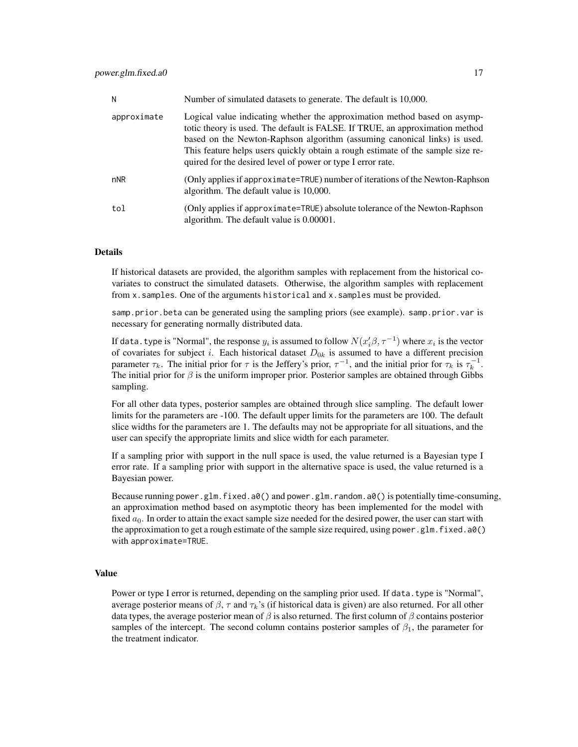| N           | Number of simulated datasets to generate. The default is 10,000.                                                                                                                                                                                                                                                                                                                         |
|-------------|------------------------------------------------------------------------------------------------------------------------------------------------------------------------------------------------------------------------------------------------------------------------------------------------------------------------------------------------------------------------------------------|
| approximate | Logical value indicating whether the approximation method based on asymp-<br>totic theory is used. The default is FALSE. If TRUE, an approximation method<br>based on the Newton-Raphson algorithm (assuming canonical links) is used.<br>This feature helps users quickly obtain a rough estimate of the sample size re-<br>quired for the desired level of power or type I error rate. |
| nNR         | (Only applies if approximate=TRUE) number of iterations of the Newton-Raphson<br>algorithm. The default value is 10,000.                                                                                                                                                                                                                                                                 |
| tol         | (Only applies if approximate=TRUE) absolute tolerance of the Newton-Raphson<br>algorithm. The default value is 0.00001.                                                                                                                                                                                                                                                                  |

If historical datasets are provided, the algorithm samples with replacement from the historical covariates to construct the simulated datasets. Otherwise, the algorithm samples with replacement from x.samples. One of the arguments historical and x.samples must be provided.

samp.prior.beta can be generated using the sampling priors (see example). samp.prior.var is necessary for generating normally distributed data.

If data. type is "Normal", the response  $y_i$  is assumed to follow  $N(x_i'\beta,\tau^{-1})$  where  $x_i$  is the vector of covariates for subject i. Each historical dataset  $D_{0k}$  is assumed to have a different precision parameter  $\tau_k$ . The initial prior for  $\tau$  is the Jeffery's prior,  $\tau^{-1}$ , and the initial prior for  $\tau_k$  is  $\tau_k^{-1}$ . The initial prior for  $\beta$  is the uniform improper prior. Posterior samples are obtained through Gibbs sampling.

For all other data types, posterior samples are obtained through slice sampling. The default lower limits for the parameters are -100. The default upper limits for the parameters are 100. The default slice widths for the parameters are 1. The defaults may not be appropriate for all situations, and the user can specify the appropriate limits and slice width for each parameter.

If a sampling prior with support in the null space is used, the value returned is a Bayesian type I error rate. If a sampling prior with support in the alternative space is used, the value returned is a Bayesian power.

Because running power.glm.fixed.a0() and power.glm.random.a0() is potentially time-consuming, an approximation method based on asymptotic theory has been implemented for the model with fixed  $a_0$ . In order to attain the exact sample size needed for the desired power, the user can start with the approximation to get a rough estimate of the sample size required, using power.glm.fixed.a0() with approximate=TRUE.

#### Value

Power or type I error is returned, depending on the sampling prior used. If data.type is "Normal", average posterior means of  $\beta$ ,  $\tau$  and  $\tau_k$ 's (if historical data is given) are also returned. For all other data types, the average posterior mean of  $\beta$  is also returned. The first column of  $\beta$  contains posterior samples of the intercept. The second column contains posterior samples of  $\beta_1$ , the parameter for the treatment indicator.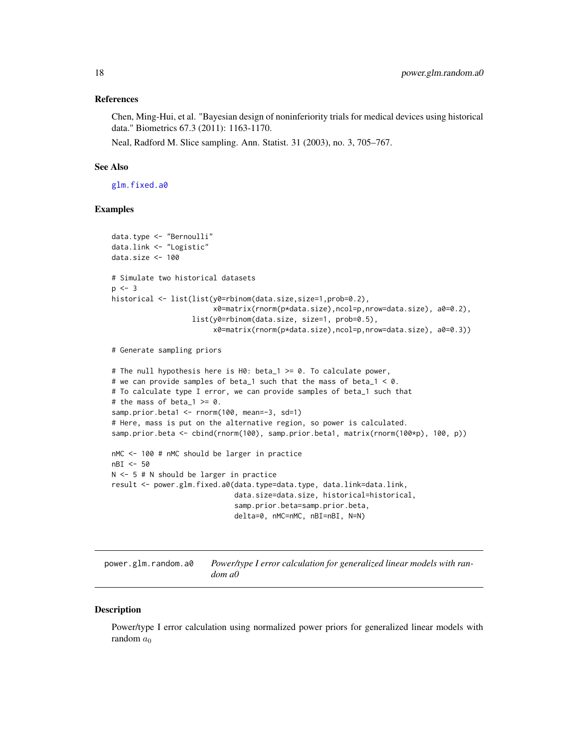#### <span id="page-17-0"></span>References

Chen, Ming-Hui, et al. "Bayesian design of noninferiority trials for medical devices using historical data." Biometrics 67.3 (2011): 1163-1170.

Neal, Radford M. Slice sampling. Ann. Statist. 31 (2003), no. 3, 705–767.

## See Also

[glm.fixed.a0](#page-4-1)

#### Examples

```
data.type <- "Bernoulli"
data.link <- "Logistic"
data.size <- 100
# Simulate two historical datasets
p \le -3historical <- list(list(y0=rbinom(data.size,size=1,prob=0.2),
                        x0=matrix(rnorm(p*data.size),ncol=p,nrow=data.size), a0=0.2),
                   list(y0=rbinom(data.size, size=1, prob=0.5),
                        x0=matrix(rnorm(p*data.size),ncol=p,nrow=data.size), a0=0.3))
# Generate sampling priors
# The null hypothesis here is H0: beta_1 >= 0. To calculate power,
# we can provide samples of beta_1 such that the mass of beta_1 < \theta.
# To calculate type I error, we can provide samples of beta_1 such that
# the mass of beta_1 >= 0.
samp.prior.beta1 <- rnorm(100, mean=-3, sd=1)
# Here, mass is put on the alternative region, so power is calculated.
samp.prior.beta <- cbind(rnorm(100), samp.prior.beta1, matrix(rnorm(100*p), 100, p))
nMC <- 100 # nMC should be larger in practice
nBI <- 50
N <- 5 # N should be larger in practice
result <- power.glm.fixed.a0(data.type=data.type, data.link=data.link,
                             data.size=data.size, historical=historical,
                             samp.prior.beta=samp.prior.beta,
                             delta=0, nMC=nMC, nBI=nBI, N=N)
```
<span id="page-17-1"></span>power.glm.random.a0 *Power/type I error calculation for generalized linear models with random a0*

#### **Description**

Power/type I error calculation using normalized power priors for generalized linear models with random  $a_0$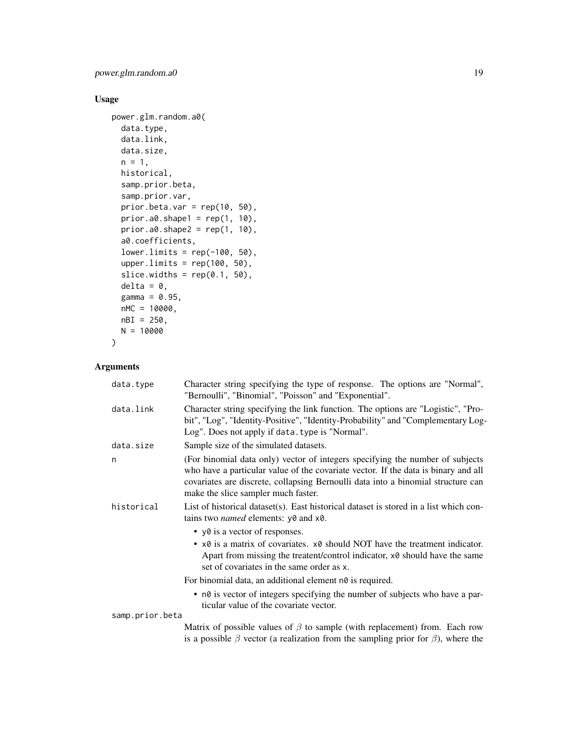power.glm.random.a0 19

## Usage

```
power.glm.random.a0(
 data.type,
  data.link,
 data.size,
 n = 1,
 historical,
  samp.prior.beta,
  samp.prior.var,
 prior.beta.var = rep(10, 50),
 prior.a0.shape1 = \text{rep}(1, 10),
 prior.a0.shape2 = rep(1, 10),a0.coefficients,
  lower.linalg = rep(-100, 50),upper.limits = rep(100, 50),
  slice.widths = rep(0.1, 50),
  delta = 0,
 gamma = 0.95,
 nMC = 10000,
 nBI = 250,
 N = 10000
)
```

| data.type       | Character string specifying the type of response. The options are "Normal",<br>"Bernoulli", "Binomial", "Poisson" and "Exponential".                                                                                                                                                           |
|-----------------|------------------------------------------------------------------------------------------------------------------------------------------------------------------------------------------------------------------------------------------------------------------------------------------------|
| data.link       | Character string specifying the link function. The options are "Logistic", "Pro-<br>bit", "Log", "Identity-Positive", "Identity-Probability" and "Complementary Log-<br>Log". Does not apply if data. type is "Normal".                                                                        |
| data.size       | Sample size of the simulated datasets.                                                                                                                                                                                                                                                         |
| n               | (For binomial data only) vector of integers specifying the number of subjects<br>who have a particular value of the covariate vector. If the data is binary and all<br>covariates are discrete, collapsing Bernoulli data into a binomial structure can<br>make the slice sampler much faster. |
| historical      | List of historical dataset(s). East historical dataset is stored in a list which con-<br>tains two <i>named</i> elements: y0 and x0.                                                                                                                                                           |
|                 | • yo is a vector of responses.                                                                                                                                                                                                                                                                 |
|                 | • $\times$ 8 is a matrix of covariates. $\times$ 8 should NOT have the treatment indicator.<br>Apart from missing the treatent/control indicator, x0 should have the same<br>set of covariates in the same order as x.                                                                         |
|                 | For binomial data, an additional element n0 is required.                                                                                                                                                                                                                                       |
|                 | • n0 is vector of integers specifying the number of subjects who have a par-<br>ticular value of the covariate vector.                                                                                                                                                                         |
| samp.prior.beta |                                                                                                                                                                                                                                                                                                |
|                 | Matrix of possible values of $\beta$ to sample (with replacement) from. Each row<br>is a possible $\beta$ vector (a realization from the sampling prior for $\beta$ ), where the                                                                                                               |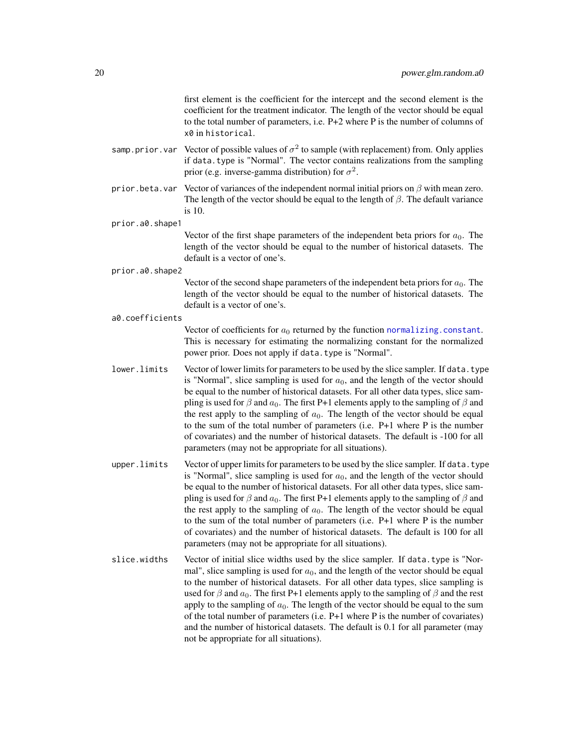first element is the coefficient for the intercept and the second element is the coefficient for the treatment indicator. The length of the vector should be equal to the total number of parameters, i.e. P+2 where P is the number of columns of x0 in historical.

- <span id="page-19-0"></span>samp.prior.var Vector of possible values of  $\sigma^2$  to sample (with replacement) from. Only applies if data.type is "Normal". The vector contains realizations from the sampling prior (e.g. inverse-gamma distribution) for  $\sigma^2$ .
- prior. beta. var Vector of variances of the independent normal initial priors on  $\beta$  with mean zero. The length of the vector should be equal to the length of  $\beta$ . The default variance is 10.

prior.a0.shape1

Vector of the first shape parameters of the independent beta priors for  $a_0$ . The length of the vector should be equal to the number of historical datasets. The default is a vector of one's.

prior.a0.shape2

Vector of the second shape parameters of the independent beta priors for  $a_0$ . The length of the vector should be equal to the number of historical datasets. The default is a vector of one's.

#### a0.coefficients

Vector of coefficients for  $a_0$  returned by the function [normalizing.constant](#page-11-1). This is necessary for estimating the normalizing constant for the normalized power prior. Does not apply if data.type is "Normal".

- lower. limits Vector of lower limits for parameters to be used by the slice sampler. If data.type is "Normal", slice sampling is used for  $a<sub>0</sub>$ , and the length of the vector should be equal to the number of historical datasets. For all other data types, slice sampling is used for  $\beta$  and  $a_0$ . The first P+1 elements apply to the sampling of  $\beta$  and the rest apply to the sampling of  $a_0$ . The length of the vector should be equal to the sum of the total number of parameters (i.e. P+1 where P is the number of covariates) and the number of historical datasets. The default is -100 for all parameters (may not be appropriate for all situations).
- upper.limits Vector of upper limits for parameters to be used by the slice sampler. If data.type is "Normal", slice sampling is used for  $a<sub>0</sub>$ , and the length of the vector should be equal to the number of historical datasets. For all other data types, slice sampling is used for  $\beta$  and  $a_0$ . The first P+1 elements apply to the sampling of  $\beta$  and the rest apply to the sampling of  $a_0$ . The length of the vector should be equal to the sum of the total number of parameters (i.e. P+1 where P is the number of covariates) and the number of historical datasets. The default is 100 for all parameters (may not be appropriate for all situations).
- slice.widths Vector of initial slice widths used by the slice sampler. If data.type is "Normal", slice sampling is used for  $a_0$ , and the length of the vector should be equal to the number of historical datasets. For all other data types, slice sampling is used for  $\beta$  and  $a_0$ . The first P+1 elements apply to the sampling of  $\beta$  and the rest apply to the sampling of  $a_0$ . The length of the vector should be equal to the sum of the total number of parameters (i.e. P+1 where P is the number of covariates) and the number of historical datasets. The default is 0.1 for all parameter (may not be appropriate for all situations).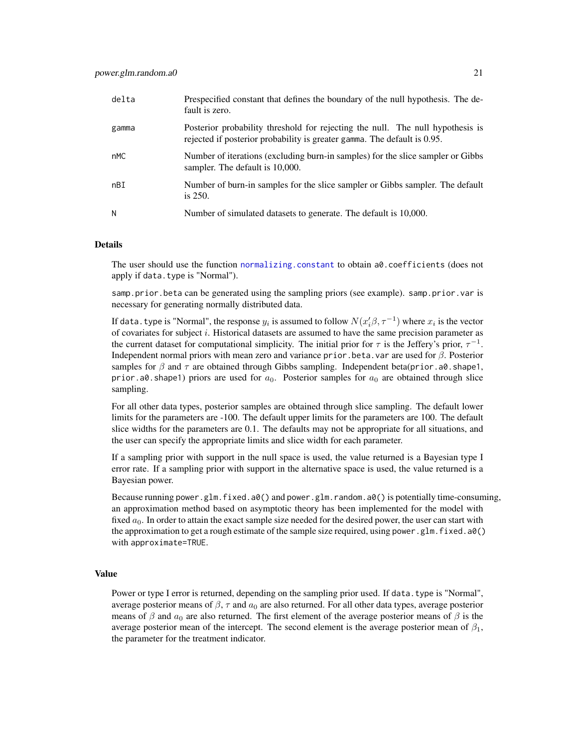| delta | Prespecified constant that defines the boundary of the null hypothesis. The de-<br>fault is zero.                                                          |
|-------|------------------------------------------------------------------------------------------------------------------------------------------------------------|
| gamma | Posterior probability threshold for rejecting the null. The null hypothesis is<br>rejected if posterior probability is greater gamma. The default is 0.95. |
| nMC   | Number of iterations (excluding burn-in samples) for the slice sampler or Gibbs<br>sampler. The default is 10,000.                                         |
| nBI   | Number of burn-in samples for the slice sampler or Gibbs sampler. The default<br>is $250$ .                                                                |
| N     | Number of simulated datasets to generate. The default is 10,000.                                                                                           |

The user should use the function [normalizing.constant](#page-11-1) to obtain a0.coefficients (does not apply if data.type is "Normal").

samp.prior.beta can be generated using the sampling priors (see example). samp.prior.var is necessary for generating normally distributed data.

If data. type is "Normal", the response  $y_i$  is assumed to follow  $N(x_i'\beta,\tau^{-1})$  where  $x_i$  is the vector of covariates for subject i. Historical datasets are assumed to have the same precision parameter as the current dataset for computational simplicity. The initial prior for  $\tau$  is the Jeffery's prior,  $\tau^{-1}$ . Independent normal priors with mean zero and variance prior.beta.var are used for  $\beta$ . Posterior samples for  $\beta$  and  $\tau$  are obtained through Gibbs sampling. Independent beta(prior.a0.shape1, prior.a0.shape1) priors are used for  $a_0$ . Posterior samples for  $a_0$  are obtained through slice sampling.

For all other data types, posterior samples are obtained through slice sampling. The default lower limits for the parameters are -100. The default upper limits for the parameters are 100. The default slice widths for the parameters are 0.1. The defaults may not be appropriate for all situations, and the user can specify the appropriate limits and slice width for each parameter.

If a sampling prior with support in the null space is used, the value returned is a Bayesian type I error rate. If a sampling prior with support in the alternative space is used, the value returned is a Bayesian power.

Because running power.glm.fixed.a0() and power.glm.random.a0() is potentially time-consuming, an approximation method based on asymptotic theory has been implemented for the model with fixed  $a_0$ . In order to attain the exact sample size needed for the desired power, the user can start with the approximation to get a rough estimate of the sample size required, using power.glm.fixed.a0() with approximate=TRUE.

#### Value

Power or type I error is returned, depending on the sampling prior used. If data.type is "Normal", average posterior means of  $\beta$ ,  $\tau$  and  $a_0$  are also returned. For all other data types, average posterior means of  $\beta$  and  $a_0$  are also returned. The first element of the average posterior means of  $\beta$  is the average posterior mean of the intercept. The second element is the average posterior mean of  $\beta_1$ , the parameter for the treatment indicator.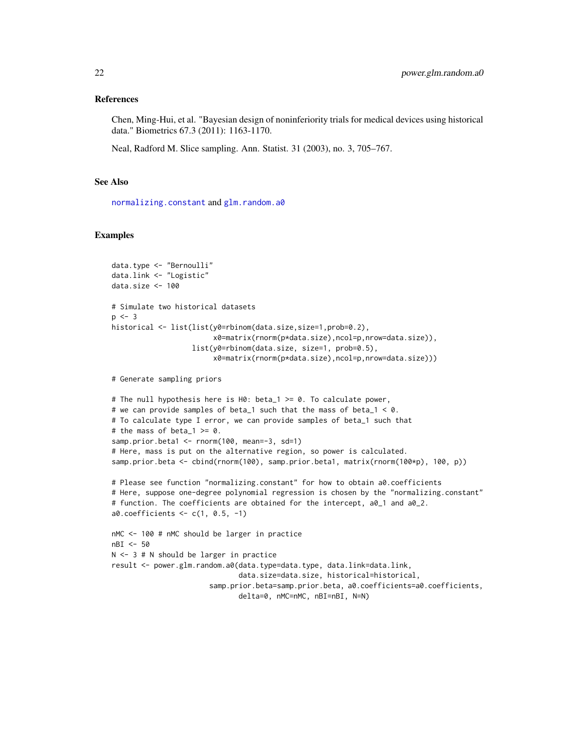#### <span id="page-21-0"></span>References

Chen, Ming-Hui, et al. "Bayesian design of noninferiority trials for medical devices using historical data." Biometrics 67.3 (2011): 1163-1170.

Neal, Radford M. Slice sampling. Ann. Statist. 31 (2003), no. 3, 705–767.

#### See Also

[normalizing.constant](#page-11-1) and [glm.random.a0](#page-7-1)

#### Examples

```
data.type <- "Bernoulli"
data.link <- "Logistic"
data.size <- 100
# Simulate two historical datasets
p \le -3historical <- list(list(y0=rbinom(data.size,size=1,prob=0.2),
                        x0=matrix(rnorm(p*data.size),ncol=p,nrow=data.size)),
                   list(y0=rbinom(data.size, size=1, prob=0.5),
                        x0=matrix(rnorm(p*data.size),ncol=p,nrow=data.size)))
# Generate sampling priors
# The null hypothesis here is H0: beta_1 >= 0. To calculate power,
# we can provide samples of beta_1 such that the mass of beta_1 < 0.
# To calculate type I error, we can provide samples of beta_1 such that
# the mass of beta_1 >= 0.
samp.prior.beta1 <- rnorm(100, mean=-3, sd=1)
# Here, mass is put on the alternative region, so power is calculated.
samp.prior.beta <- cbind(rnorm(100), samp.prior.beta1, matrix(rnorm(100*p), 100, p))
# Please see function "normalizing.constant" for how to obtain a0.coefficients
# Here, suppose one-degree polynomial regression is chosen by the "normalizing.constant"
# function. The coefficients are obtained for the intercept, a0_1 and a0_2.
a0.coefficients <- c(1, 0.5, -1)
nMC <- 100 # nMC should be larger in practice
nBI <- 50
N <- 3 # N should be larger in practice
result <- power.glm.random.a0(data.type=data.type, data.link=data.link,
                              data.size=data.size, historical=historical,
                       samp.prior.beta=samp.prior.beta, a0.coefficients=a0.coefficients,
                              delta=0, nMC=nMC, nBI=nBI, N=N)
```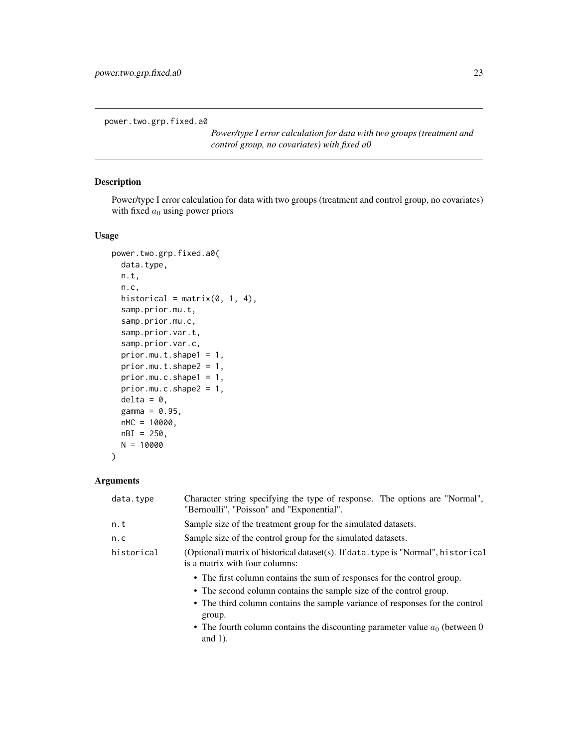<span id="page-22-1"></span><span id="page-22-0"></span>power.two.grp.fixed.a0

*Power/type I error calculation for data with two groups (treatment and control group, no covariates) with fixed a0*

## Description

Power/type I error calculation for data with two groups (treatment and control group, no covariates) with fixed  $a_0$  using power priors

#### Usage

```
power.two.grp.fixed.a0(
 data.type,
 n.t,
 n.c,
 historical = matrix(0, 1, 4),
 samp.prior.mu.t,
  samp.prior.mu.c,
  samp.prior.var.t,
  samp.prior.var.c,
 prior.mu.t.shape1 = 1,
 prior.mu.t.shape2 = 1,
 prior.mu.c.shape1 = 1,
 prior.mu.c.shape2 = 1,
 delta = 0,
 gamma = 0.95,
 nMC = 10000,
 nBI = 250,
 N = 10000
)
```

| data.type  | Character string specifying the type of response. The options are "Normal",<br>"Bernoulli", "Poisson" and "Exponential".                                                                                                                                                                                                               |
|------------|----------------------------------------------------------------------------------------------------------------------------------------------------------------------------------------------------------------------------------------------------------------------------------------------------------------------------------------|
| n.t        | Sample size of the treatment group for the simulated datasets.                                                                                                                                                                                                                                                                         |
| n.c        | Sample size of the control group for the simulated datasets.                                                                                                                                                                                                                                                                           |
| historical | (Optional) matrix of historical dataset(s). If data, type is "Normal", historical<br>is a matrix with four columns:                                                                                                                                                                                                                    |
|            | • The first column contains the sum of responses for the control group.<br>• The second column contains the sample size of the control group.<br>• The third column contains the sample variance of responses for the control<br>group.<br>• The fourth column contains the discounting parameter value $a_0$ (between 0<br>and $1$ ). |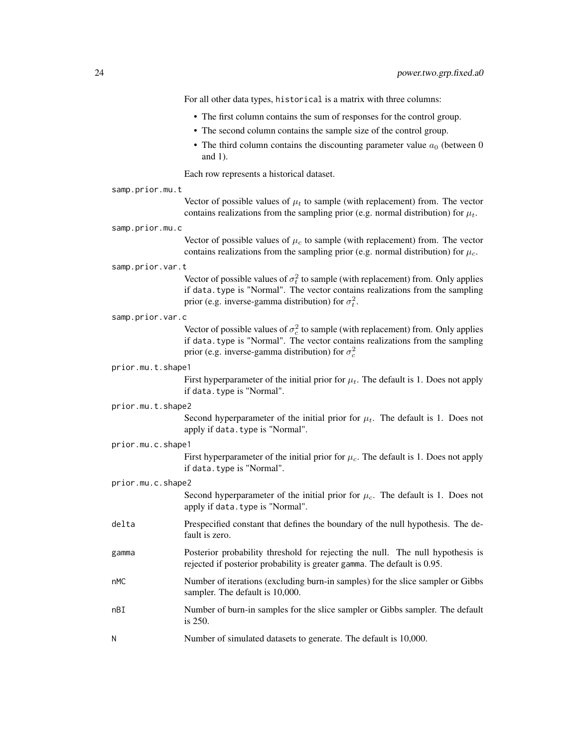For all other data types, historical is a matrix with three columns:

- The first column contains the sum of responses for the control group.
- The second column contains the sample size of the control group.
- The third column contains the discounting parameter value  $a_0$  (between 0 and 1).

Each row represents a historical dataset.

samp.prior.mu.t

Vector of possible values of  $\mu_t$  to sample (with replacement) from. The vector contains realizations from the sampling prior (e.g. normal distribution) for  $\mu_t$ .

samp.prior.mu.c

Vector of possible values of  $\mu_c$  to sample (with replacement) from. The vector contains realizations from the sampling prior (e.g. normal distribution) for  $\mu_c$ .

samp.prior.var.t

Vector of possible values of  $\sigma_t^2$  to sample (with replacement) from. Only applies if data.type is "Normal". The vector contains realizations from the sampling prior (e.g. inverse-gamma distribution) for  $\sigma_t^2$ .

samp.prior.var.c

Vector of possible values of  $\sigma_c^2$  to sample (with replacement) from. Only applies if data.type is "Normal". The vector contains realizations from the sampling prior (e.g. inverse-gamma distribution) for  $\sigma_c^2$ 

#### prior.mu.t.shape1

First hyperparameter of the initial prior for  $\mu_t$ . The default is 1. Does not apply if data.type is "Normal".

#### prior.mu.t.shape2

Second hyperparameter of the initial prior for  $\mu_t$ . The default is 1. Does not apply if data.type is "Normal".

#### prior.mu.c.shape1

First hyperparameter of the initial prior for  $\mu_c$ . The default is 1. Does not apply if data.type is "Normal".

- prior.mu.c.shape2
	- Second hyperparameter of the initial prior for  $\mu_c$ . The default is 1. Does not apply if data.type is "Normal".
- delta Prespecified constant that defines the boundary of the null hypothesis. The default is zero.
- gamma Posterior probability threshold for rejecting the null. The null hypothesis is rejected if posterior probability is greater gamma. The default is 0.95.
- nMC Number of iterations (excluding burn-in samples) for the slice sampler or Gibbs sampler. The default is 10,000.
- nBI Number of burn-in samples for the slice sampler or Gibbs sampler. The default is 250.
- N Number of simulated datasets to generate. The default is 10,000.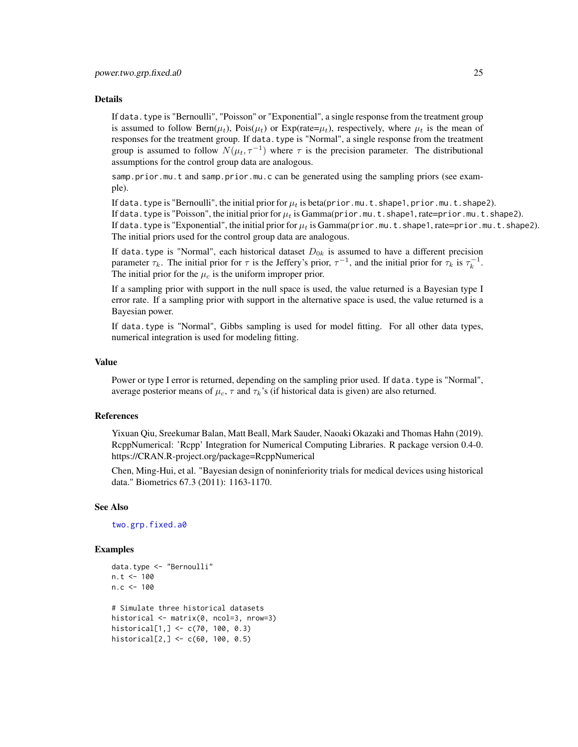<span id="page-24-0"></span>If data.type is "Bernoulli", "Poisson" or "Exponential", a single response from the treatment group is assumed to follow Bern( $\mu_t$ ), Pois( $\mu_t$ ) or Exp(rate= $\mu_t$ ), respectively, where  $\mu_t$  is the mean of responses for the treatment group. If data.type is "Normal", a single response from the treatment group is assumed to follow  $N(\mu_t, \tau^{-1})$  where  $\tau$  is the precision parameter. The distributional assumptions for the control group data are analogous.

samp.prior.mu.t and samp.prior.mu.c can be generated using the sampling priors (see example).

If data.type is "Bernoulli", the initial prior for  $\mu_t$  is beta(prior.mu.t.shape1, prior.mu.t.shape2). If data.type is "Poisson", the initial prior for  $\mu_t$  is Gamma(prior.mu.t.shape1, rate=prior.mu.t.shape2). If data.type is "Exponential", the initial prior for  $\mu_t$  is Gamma(prior.mu.t.shape1, rate=prior.mu.t.shape2). The initial priors used for the control group data are analogous.

If data.type is "Normal", each historical dataset  $D_{0k}$  is assumed to have a different precision parameter  $\tau_k$ . The initial prior for  $\tau$  is the Jeffery's prior,  $\tau^{-1}$ , and the initial prior for  $\tau_k$  is  $\tau_k^{-1}$ . The initial prior for the  $\mu_c$  is the uniform improper prior.

If a sampling prior with support in the null space is used, the value returned is a Bayesian type I error rate. If a sampling prior with support in the alternative space is used, the value returned is a Bayesian power.

If data.type is "Normal", Gibbs sampling is used for model fitting. For all other data types, numerical integration is used for modeling fitting.

#### Value

Power or type I error is returned, depending on the sampling prior used. If data, type is "Normal", average posterior means of  $\mu_c$ ,  $\tau$  and  $\tau_k$ 's (if historical data is given) are also returned.

#### References

Yixuan Qiu, Sreekumar Balan, Matt Beall, Mark Sauder, Naoaki Okazaki and Thomas Hahn (2019). RcppNumerical: 'Rcpp' Integration for Numerical Computing Libraries. R package version 0.4-0. https://CRAN.R-project.org/package=RcppNumerical

Chen, Ming-Hui, et al. "Bayesian design of noninferiority trials for medical devices using historical data." Biometrics 67.3 (2011): 1163-1170.

#### See Also

[two.grp.fixed.a0](#page-29-1)

#### Examples

```
data.type <- "Bernoulli"
n.t < -100n.c < -100# Simulate three historical datasets
historical <- matrix(0, ncol=3, nrow=3)
historical[1,] <- c(70, 100, 0.3)
historical[2,] <- c(60, 100, 0.5)
```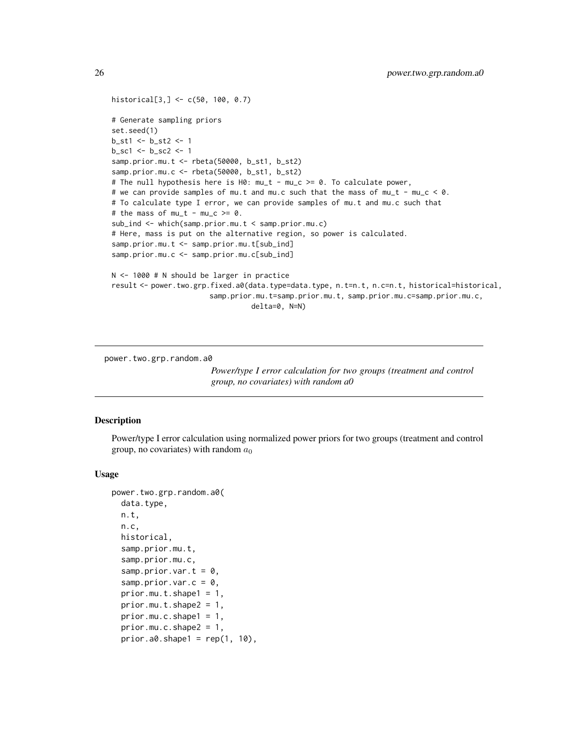```
historical[3,] <- c(50, 100, 0.7)
# Generate sampling priors
set.seed(1)
b_st1 <- b_st2 <- 1
b\_sc1 <- b\_sc2 <- 1
samp.prior.mu.t <- rbeta(50000, b_st1, b_st2)
samp.prior.mu.c <- rbeta(50000, b_st1, b_st2)
# The null hypothesis here is H0: mu_t - mu_c >= 0. To calculate power,
# we can provide samples of mu.t and mu.c such that the mass of mu_t - mu_c < 0.
# To calculate type I error, we can provide samples of mu.t and mu.c such that
# the mass of mu_t - mu_c >= 0.
sub_ind <- which(samp.prior.mu.t < samp.prior.mu.c)
# Here, mass is put on the alternative region, so power is calculated.
samp.prior.mu.t <- samp.prior.mu.t[sub_ind]
samp.prior.mu.c <- samp.prior.mu.c[sub_ind]
N <- 1000 # N should be larger in practice
result <- power.two.grp.fixed.a0(data.type=data.type, n.t=n.t, n.c=n.t, historical=historical,
                       samp.prior.mu.t=samp.prior.mu.t, samp.prior.mu.c=samp.prior.mu.c,
                                 delta=0, N=N)
```
<span id="page-25-1"></span>power.two.grp.random.a0

*Power/type I error calculation for two groups (treatment and control group, no covariates) with random a0*

#### Description

Power/type I error calculation using normalized power priors for two groups (treatment and control group, no covariates) with random  $a_0$ 

#### Usage

```
power.two.grp.random.a0(
  data.type,
 n.t,
 n.c,
  historical,
  samp.prior.mu.t,
  samp.prior.mu.c,
  samp.prior.var.t = 0,
  samp.prior.var.c = 0,
  prior.mu.t.shape1 = 1,
  prior.mu.t.shape2 = 1,
 prior.mu.c.shape1 = 1,
  prior.mu.c.shape2 = 1,
  prior.a0.shape1 = rep(1, 10),
```
<span id="page-25-0"></span>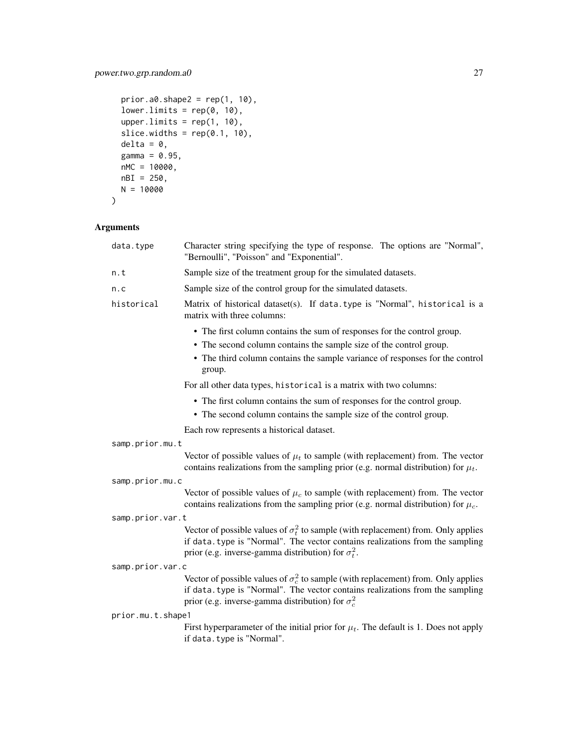```
prior.a0.shape2 = \text{rep}(1, 10),
lower.limits = rep(0, 10),upper.limits = rep(1, 10),
slice.widths = rep(0.1, 10),
delta = 0,
gamma = 0.95,
nMC = 10000,
nBI = 250,N = 10000
```

```
\mathcal{L}
```

| data.type         | Character string specifying the type of response. The options are "Normal",<br>"Bernoulli", "Poisson" and "Exponential".                                                                                                                |
|-------------------|-----------------------------------------------------------------------------------------------------------------------------------------------------------------------------------------------------------------------------------------|
| n.t               | Sample size of the treatment group for the simulated datasets.                                                                                                                                                                          |
| n.c               | Sample size of the control group for the simulated datasets.                                                                                                                                                                            |
| historical        | Matrix of historical dataset(s). If data.type is "Normal", historical is a<br>matrix with three columns:                                                                                                                                |
|                   | • The first column contains the sum of responses for the control group.<br>• The second column contains the sample size of the control group.<br>• The third column contains the sample variance of responses for the control<br>group. |
|                   | For all other data types, historical is a matrix with two columns:                                                                                                                                                                      |
|                   | • The first column contains the sum of responses for the control group.<br>• The second column contains the sample size of the control group.                                                                                           |
|                   | Each row represents a historical dataset.                                                                                                                                                                                               |
| samp.prior.mu.t   |                                                                                                                                                                                                                                         |
|                   | Vector of possible values of $\mu_t$ to sample (with replacement) from. The vector<br>contains realizations from the sampling prior (e.g. normal distribution) for $\mu_t$ .                                                            |
| samp.prior.mu.c   |                                                                                                                                                                                                                                         |
|                   | Vector of possible values of $\mu_c$ to sample (with replacement) from. The vector<br>contains realizations from the sampling prior (e.g. normal distribution) for $\mu_c$ .                                                            |
| samp.prior.var.t  |                                                                                                                                                                                                                                         |
|                   | Vector of possible values of $\sigma_t^2$ to sample (with replacement) from. Only applies<br>if data.type is "Normal". The vector contains realizations from the sampling<br>prior (e.g. inverse-gamma distribution) for $\sigma_t^2$ . |
| samp.prior.var.c  |                                                                                                                                                                                                                                         |
|                   | Vector of possible values of $\sigma_c^2$ to sample (with replacement) from. Only applies<br>if data.type is "Normal". The vector contains realizations from the sampling<br>prior (e.g. inverse-gamma distribution) for $\sigma_c^2$   |
| prior.mu.t.shape1 |                                                                                                                                                                                                                                         |
|                   | First hyperparameter of the initial prior for $\mu_t$ . The default is 1. Does not apply<br>if data.type is "Normal".                                                                                                                   |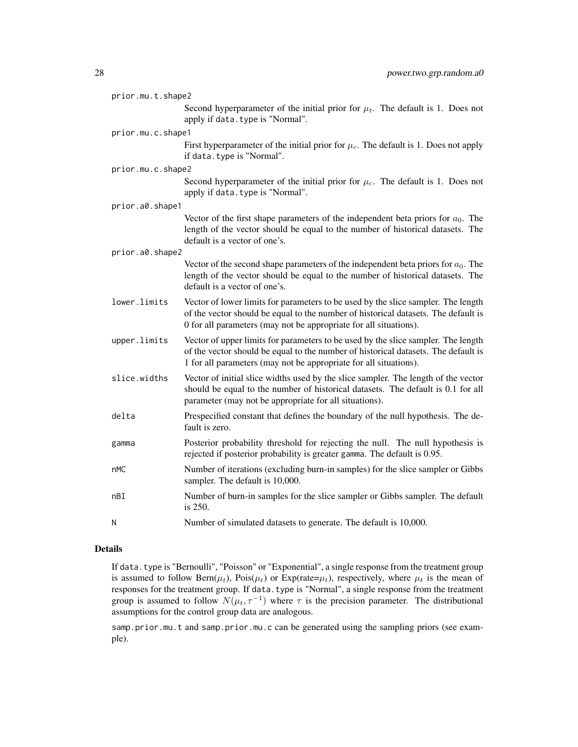| prior.mu.t.shape2 |                                                                                                                                                                                                                                              |
|-------------------|----------------------------------------------------------------------------------------------------------------------------------------------------------------------------------------------------------------------------------------------|
|                   | Second hyperparameter of the initial prior for $\mu_t$ . The default is 1. Does not<br>apply if data. type is "Normal".                                                                                                                      |
| prior.mu.c.shape1 |                                                                                                                                                                                                                                              |
|                   | First hyperparameter of the initial prior for $\mu_c$ . The default is 1. Does not apply<br>if data. type is "Normal".                                                                                                                       |
| prior.mu.c.shape2 |                                                                                                                                                                                                                                              |
|                   | Second hyperparameter of the initial prior for $\mu_c$ . The default is 1. Does not<br>apply if data. type is "Normal".                                                                                                                      |
| prior.a0.shape1   |                                                                                                                                                                                                                                              |
|                   | Vector of the first shape parameters of the independent beta priors for $a_0$ . The<br>length of the vector should be equal to the number of historical datasets. The<br>default is a vector of one's.                                       |
| prior.a0.shape2   |                                                                                                                                                                                                                                              |
|                   | Vector of the second shape parameters of the independent beta priors for $a_0$ . The<br>length of the vector should be equal to the number of historical datasets. The<br>default is a vector of one's.                                      |
| lower.limits      | Vector of lower limits for parameters to be used by the slice sampler. The length<br>of the vector should be equal to the number of historical datasets. The default is<br>0 for all parameters (may not be appropriate for all situations). |
| upper.limits      | Vector of upper limits for parameters to be used by the slice sampler. The length<br>of the vector should be equal to the number of historical datasets. The default is<br>1 for all parameters (may not be appropriate for all situations). |
| slice.widths      | Vector of initial slice widths used by the slice sampler. The length of the vector<br>should be equal to the number of historical datasets. The default is 0.1 for all<br>parameter (may not be appropriate for all situations).             |
| delta             | Prespecified constant that defines the boundary of the null hypothesis. The de-<br>fault is zero.                                                                                                                                            |
| gamma             | Posterior probability threshold for rejecting the null. The null hypothesis is<br>rejected if posterior probability is greater gamma. The default is 0.95.                                                                                   |
| nMC               | Number of iterations (excluding burn-in samples) for the slice sampler or Gibbs<br>sampler. The default is 10,000.                                                                                                                           |
| nBI               | Number of burn-in samples for the slice sampler or Gibbs sampler. The default<br>is 250.                                                                                                                                                     |
| N                 | Number of simulated datasets to generate. The default is 10,000.                                                                                                                                                                             |

If data.type is "Bernoulli", "Poisson" or "Exponential", a single response from the treatment group is assumed to follow  $\text{Bern}(\mu_t)$ ,  $\text{Pois}(\mu_t)$  or  $\text{Exp}(\text{rate}=\mu_t)$ , respectively, where  $\mu_t$  is the mean of responses for the treatment group. If data.type is "Normal", a single response from the treatment group is assumed to follow  $N(\mu_t, \tau^{-1})$  where  $\tau$  is the precision parameter. The distributional assumptions for the control group data are analogous.

samp.prior.mu.t and samp.prior.mu.c can be generated using the sampling priors (see example).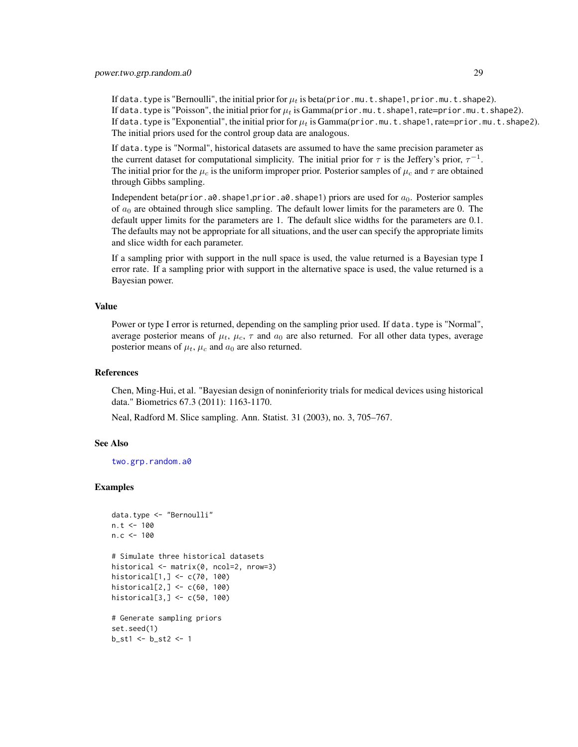<span id="page-28-0"></span>If data.type is "Bernoulli", the initial prior for  $\mu_t$  is beta(prior.mu.t.shape1, prior.mu.t.shape2). If data.type is "Poisson", the initial prior for  $\mu_t$  is Gamma(prior.mu.t.shape1, rate=prior.mu.t.shape2). If data.type is "Exponential", the initial prior for  $\mu_t$  is Gamma(prior.mu.t.shape1, rate=prior.mu.t.shape2). The initial priors used for the control group data are analogous.

If data.type is "Normal", historical datasets are assumed to have the same precision parameter as the current dataset for computational simplicity. The initial prior for  $\tau$  is the Jeffery's prior,  $\tau^{-1}$ . The initial prior for the  $\mu_c$  is the uniform improper prior. Posterior samples of  $\mu_c$  and  $\tau$  are obtained through Gibbs sampling.

Independent beta(prior.a0.shape1,prior.a0.shape1) priors are used for  $a_0$ . Posterior samples of  $a_0$  are obtained through slice sampling. The default lower limits for the parameters are 0. The default upper limits for the parameters are 1. The default slice widths for the parameters are 0.1. The defaults may not be appropriate for all situations, and the user can specify the appropriate limits and slice width for each parameter.

If a sampling prior with support in the null space is used, the value returned is a Bayesian type I error rate. If a sampling prior with support in the alternative space is used, the value returned is a Bayesian power.

#### Value

Power or type I error is returned, depending on the sampling prior used. If data.type is "Normal", average posterior means of  $\mu_t$ ,  $\mu_c$ ,  $\tau$  and  $a_0$  are also returned. For all other data types, average posterior means of  $\mu_t$ ,  $\mu_c$  and  $a_0$  are also returned.

#### References

Chen, Ming-Hui, et al. "Bayesian design of noninferiority trials for medical devices using historical data." Biometrics 67.3 (2011): 1163-1170.

Neal, Radford M. Slice sampling. Ann. Statist. 31 (2003), no. 3, 705–767.

#### See Also

[two.grp.random.a0](#page-31-1)

#### Examples

```
data.type <- "Bernoulli"
n.t < -100n.c < -100# Simulate three historical datasets
historical <- matrix(0, ncol=2, nrow=3)
historical[1,] <- c(70, 100)
historical[2,] <- c(60, 100)
historical[3,] <- c(50, 100)
# Generate sampling priors
set.seed(1)
b_st1 <- b_st2 <- 1
```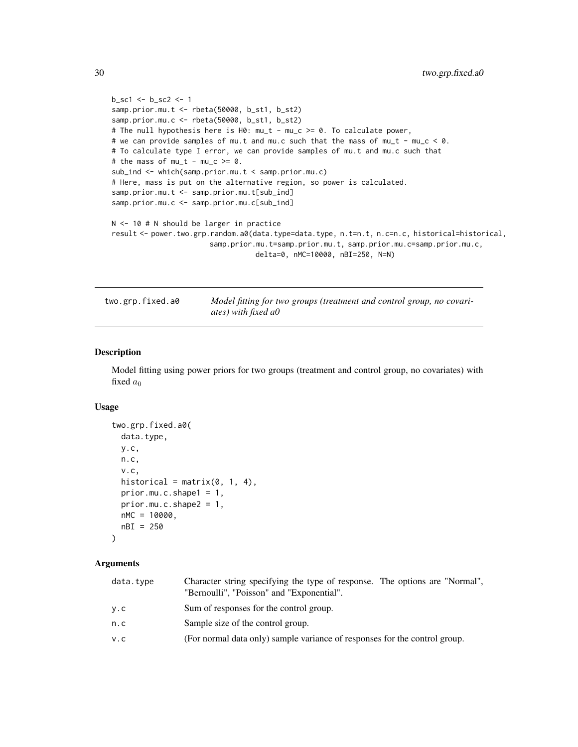```
b_sc1 <- b_sc2 <- 1
samp.prior.mu.t <- rbeta(50000, b_st1, b_st2)
samp.prior.mu.c <- rbeta(50000, b_st1, b_st2)
# The null hypothesis here is H0: mu_t - mu_c >= 0. To calculate power,
# we can provide samples of mu.t and mu.c such that the mass of mu_t - mu_c < 0.
# To calculate type I error, we can provide samples of mu.t and mu.c such that
# the mass of mu_t - mu_c >= 0.
sub_ind <- which(samp.prior.mu.t < samp.prior.mu.c)
# Here, mass is put on the alternative region, so power is calculated.
samp.prior.mu.t <- samp.prior.mu.t[sub_ind]
samp.prior.mu.c <- samp.prior.mu.c[sub_ind]
N <- 10 # N should be larger in practice
result <- power.two.grp.random.a0(data.type=data.type, n.t=n.t, n.c=n.c, historical=historical,
                       samp.prior.mu.t=samp.prior.mu.t, samp.prior.mu.c=samp.prior.mu.c,
                                  delta=0, nMC=10000, nBI=250, N=N)
```
<span id="page-29-1"></span>

two.grp.fixed.a0 *Model fitting for two groups (treatment and control group, no covariates) with fixed a0*

#### Description

Model fitting using power priors for two groups (treatment and control group, no covariates) with fixed  $a_0$ 

#### Usage

```
two.grp.fixed.a0(
 data.type,
 y.c,
 n.c,
  v.c,
 historical = matrix(0, 1, 4),
 prior.mu.c.shape1 = 1,
 prior.mu.c.shape2 = 1,
 nMC = 10000,
 nBI = 250
)
```

| data.type | Character string specifying the type of response. The options are "Normal",<br>"Bernoulli", "Poisson" and "Exponential". |  |
|-----------|--------------------------------------------------------------------------------------------------------------------------|--|
| y.c       | Sum of responses for the control group.                                                                                  |  |
| n.c       | Sample size of the control group.                                                                                        |  |
| V.C       | (For normal data only) sample variance of responses for the control group.                                               |  |
|           |                                                                                                                          |  |

<span id="page-29-0"></span>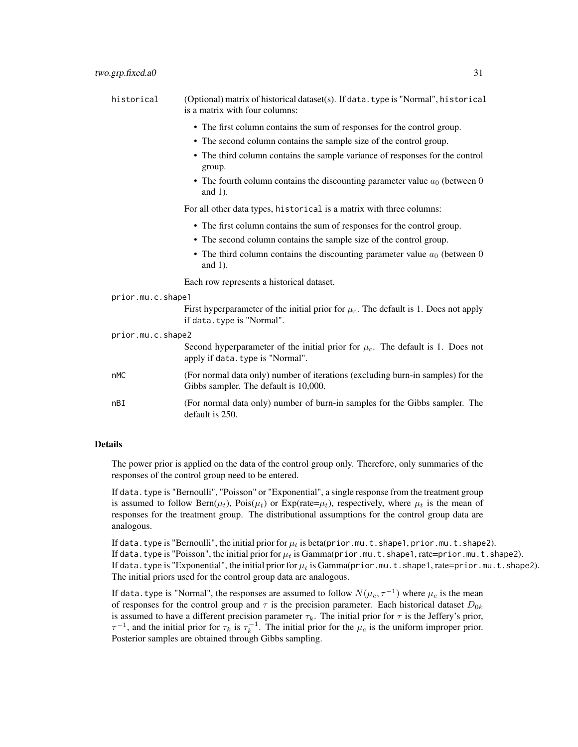| historical        | (Optional) matrix of historical dataset(s). If data. type is "Normal", historical<br>is a matrix with four columns:     |
|-------------------|-------------------------------------------------------------------------------------------------------------------------|
|                   | • The first column contains the sum of responses for the control group.                                                 |
|                   | • The second column contains the sample size of the control group.                                                      |
|                   | • The third column contains the sample variance of responses for the control<br>group.                                  |
|                   | • The fourth column contains the discounting parameter value $a_0$ (between 0<br>and $1$ ).                             |
|                   | For all other data types, historical is a matrix with three columns:                                                    |
|                   | • The first column contains the sum of responses for the control group.                                                 |
|                   | • The second column contains the sample size of the control group.                                                      |
|                   | • The third column contains the discounting parameter value $a_0$ (between 0<br>and $1$ ).                              |
|                   | Each row represents a historical dataset.                                                                               |
| prior.mu.c.shape1 |                                                                                                                         |
|                   | First hyperparameter of the initial prior for $\mu_c$ . The default is 1. Does not apply<br>if data. type is "Normal".  |
| prior.mu.c.shape2 |                                                                                                                         |
|                   | Second hyperparameter of the initial prior for $\mu_c$ . The default is 1. Does not<br>apply if data. type is "Normal". |
|                   |                                                                                                                         |

- nMC (For normal data only) number of iterations (excluding burn-in samples) for the Gibbs sampler. The default is 10,000.
- nBI (For normal data only) number of burn-in samples for the Gibbs sampler. The default is 250.

The power prior is applied on the data of the control group only. Therefore, only summaries of the responses of the control group need to be entered.

If data. type is "Bernoulli", "Poisson" or "Exponential", a single response from the treatment group is assumed to follow Bern( $\mu_t$ ), Pois( $\mu_t$ ) or Exp(rate= $\mu_t$ ), respectively, where  $\mu_t$  is the mean of responses for the treatment group. The distributional assumptions for the control group data are analogous.

If data.type is "Bernoulli", the initial prior for  $\mu_t$  is beta(prior.mu.t.shape1, prior.mu.t.shape2). If data.type is "Poisson", the initial prior for  $\mu_t$  is Gamma(prior.mu.t.shape1, rate=prior.mu.t.shape2). If data.type is "Exponential", the initial prior for  $\mu_t$  is Gamma(prior.mu.t.shape1, rate=prior.mu.t.shape2). The initial priors used for the control group data are analogous.

If data. type is "Normal", the responses are assumed to follow  $N(\mu_c, \tau^{-1})$  where  $\mu_c$  is the mean of responses for the control group and  $\tau$  is the precision parameter. Each historical dataset  $D_{0k}$ is assumed to have a different precision parameter  $\tau_k$ . The initial prior for  $\tau$  is the Jeffery's prior,  $\tau^{-1}$ , and the initial prior for  $\tau_k$  is  $\tau_k^{-1}$ . The initial prior for the  $\mu_c$  is the uniform improper prior. Posterior samples are obtained through Gibbs sampling.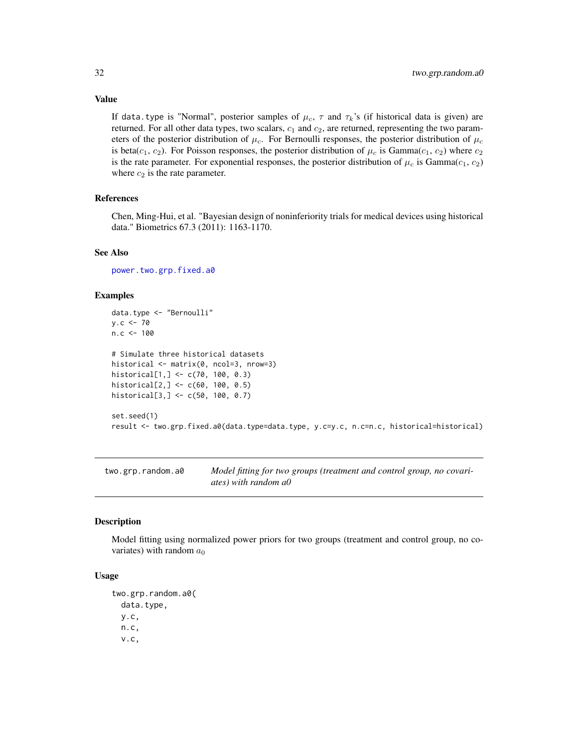Value

If data.type is "Normal", posterior samples of  $\mu_c$ ,  $\tau$  and  $\tau_k$ 's (if historical data is given) are returned. For all other data types, two scalars,  $c_1$  and  $c_2$ , are returned, representing the two parameters of the posterior distribution of  $\mu_c$ . For Bernoulli responses, the posterior distribution of  $\mu_c$ is beta( $c_1, c_2$ ). For Poisson responses, the posterior distribution of  $\mu_c$  is Gamma( $c_1, c_2$ ) where  $c_2$ is the rate parameter. For exponential responses, the posterior distribution of  $\mu_c$  is Gamma $(c_1, c_2)$ where  $c_2$  is the rate parameter.

#### References

Chen, Ming-Hui, et al. "Bayesian design of noninferiority trials for medical devices using historical data." Biometrics 67.3 (2011): 1163-1170.

#### See Also

[power.two.grp.fixed.a0](#page-22-1)

## Examples

```
data.type <- "Bernoulli"
y.c < -70n.c < -100# Simulate three historical datasets
historical <- matrix(0, ncol=3, nrow=3)
historical[1,] <- c(70, 100, 0.3)
historical[2,] <- c(60, 100, 0.5)
historical[3,] <- c(50, 100, 0.7)
set.seed(1)
result <- two.grp.fixed.a0(data.type=data.type, y.c=y.c, n.c=n.c, historical=historical)
```
<span id="page-31-1"></span>two.grp.random.a0 *Model fitting for two groups (treatment and control group, no covariates) with random a0*

#### Description

Model fitting using normalized power priors for two groups (treatment and control group, no covariates) with random  $a_0$ 

#### Usage

```
two.grp.random.a0(
  data.type,
 y.c,
 n.c,
  v.c,
```
<span id="page-31-0"></span>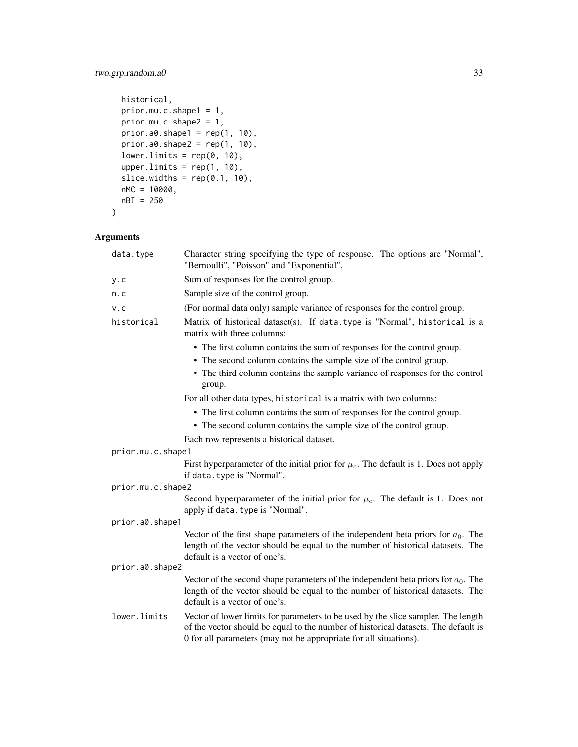## two.grp.random.a0 33

```
historical,
 prior.mu.c.shape1 = 1,
 prior.mu.c.shape2 = 1,
 prior.a0.shape1 = \text{rep}(1, 10),
 prior.a0.shape2 = rep(1, 10),lower.linalg = rep(0, 10),upper.limits = rep(1, 10),
  slice.widths = rep(0.1, 10),
 nMC = 10000,nBI = 250
\mathcal{L}
```

| data.type         | Character string specifying the type of response. The options are "Normal",<br>"Bernoulli", "Poisson" and "Exponential".                                                                                                                     |
|-------------------|----------------------------------------------------------------------------------------------------------------------------------------------------------------------------------------------------------------------------------------------|
| y.c               | Sum of responses for the control group.                                                                                                                                                                                                      |
| n.c               | Sample size of the control group.                                                                                                                                                                                                            |
| V.C               | (For normal data only) sample variance of responses for the control group.                                                                                                                                                                   |
| historical        | Matrix of historical dataset(s). If data.type is "Normal", historical is a<br>matrix with three columns:                                                                                                                                     |
|                   | • The first column contains the sum of responses for the control group.<br>• The second column contains the sample size of the control group.<br>• The third column contains the sample variance of responses for the control                |
|                   | group.                                                                                                                                                                                                                                       |
|                   | For all other data types, historical is a matrix with two columns:                                                                                                                                                                           |
|                   | • The first column contains the sum of responses for the control group.<br>• The second column contains the sample size of the control group.                                                                                                |
|                   | Each row represents a historical dataset.                                                                                                                                                                                                    |
| prior.mu.c.shape1 |                                                                                                                                                                                                                                              |
|                   | First hyperparameter of the initial prior for $\mu_c$ . The default is 1. Does not apply<br>if data. type is "Normal".                                                                                                                       |
| prior.mu.c.shape2 |                                                                                                                                                                                                                                              |
|                   | Second hyperparameter of the initial prior for $\mu_c$ . The default is 1. Does not<br>apply if data. type is "Normal".                                                                                                                      |
| prior.a0.shape1   |                                                                                                                                                                                                                                              |
|                   | Vector of the first shape parameters of the independent beta priors for $a_0$ . The<br>length of the vector should be equal to the number of historical datasets. The<br>default is a vector of one's.                                       |
| prior.a0.shape2   |                                                                                                                                                                                                                                              |
|                   | Vector of the second shape parameters of the independent beta priors for $a_0$ . The<br>length of the vector should be equal to the number of historical datasets. The<br>default is a vector of one's.                                      |
| lower.limits      | Vector of lower limits for parameters to be used by the slice sampler. The length<br>of the vector should be equal to the number of historical datasets. The default is<br>0 for all parameters (may not be appropriate for all situations). |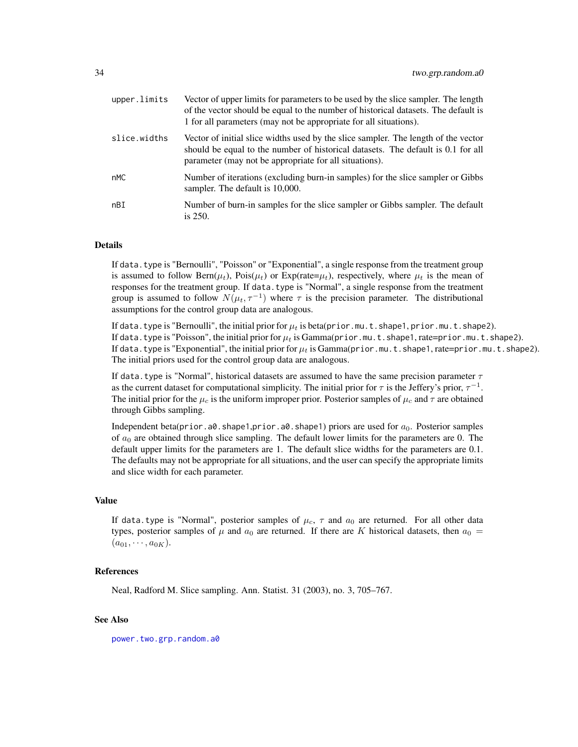<span id="page-33-0"></span>

| upper.limits | Vector of upper limits for parameters to be used by the slice sampler. The length<br>of the vector should be equal to the number of historical datasets. The default is<br>1 for all parameters (may not be appropriate for all situations). |
|--------------|----------------------------------------------------------------------------------------------------------------------------------------------------------------------------------------------------------------------------------------------|
| slice.widths | Vector of initial slice widths used by the slice sampler. The length of the vector<br>should be equal to the number of historical datasets. The default is 0.1 for all<br>parameter (may not be appropriate for all situations).             |
| nMC          | Number of iterations (excluding burn-in samples) for the slice sampler or Gibbs<br>sampler. The default is 10,000.                                                                                                                           |
| nBI          | Number of burn-in samples for the slice sampler or Gibbs sampler. The default<br>is $250$ .                                                                                                                                                  |

If data. type is "Bernoulli", "Poisson" or "Exponential", a single response from the treatment group is assumed to follow Bern( $\mu_t$ ), Pois( $\mu_t$ ) or Exp(rate= $\mu_t$ ), respectively, where  $\mu_t$  is the mean of responses for the treatment group. If data.type is "Normal", a single response from the treatment group is assumed to follow  $N(\mu_t, \tau^{-1})$  where  $\tau$  is the precision parameter. The distributional assumptions for the control group data are analogous.

If data.type is "Bernoulli", the initial prior for  $\mu_t$  is beta(prior.mu.t.shape1, prior.mu.t.shape2). If data.type is "Poisson", the initial prior for  $\mu_t$  is Gamma(prior.mu.t.shape1, rate=prior.mu.t.shape2). If data.type is "Exponential", the initial prior for  $\mu_t$  is Gamma(prior.mu.t.shape1, rate=prior.mu.t.shape2). The initial priors used for the control group data are analogous.

If data.type is "Normal", historical datasets are assumed to have the same precision parameter  $\tau$ as the current dataset for computational simplicity. The initial prior for  $\tau$  is the Jeffery's prior,  $\tau^{-1}$ . The initial prior for the  $\mu_c$  is the uniform improper prior. Posterior samples of  $\mu_c$  and  $\tau$  are obtained through Gibbs sampling.

Independent beta(prior.a0.shape1,prior.a0.shape1) priors are used for  $a_0$ . Posterior samples of  $a_0$  are obtained through slice sampling. The default lower limits for the parameters are 0. The default upper limits for the parameters are 1. The default slice widths for the parameters are 0.1. The defaults may not be appropriate for all situations, and the user can specify the appropriate limits and slice width for each parameter.

#### Value

If data.type is "Normal", posterior samples of  $\mu_c$ ,  $\tau$  and  $a_0$  are returned. For all other data types, posterior samples of  $\mu$  and  $a_0$  are returned. If there are K historical datasets, then  $a_0 =$  $(a_{01}, \cdots, a_{0K}).$ 

#### References

Neal, Radford M. Slice sampling. Ann. Statist. 31 (2003), no. 3, 705–767.

#### See Also

[power.two.grp.random.a0](#page-25-1)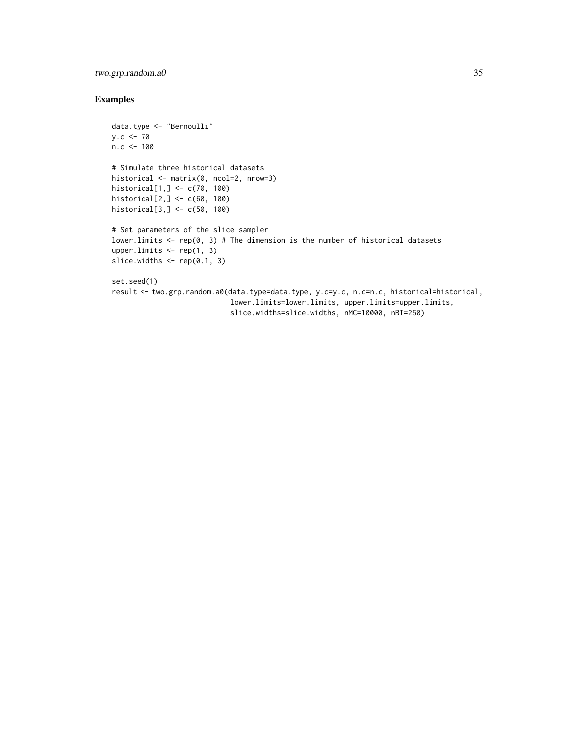## two.grp.random.a0 35

## Examples

```
data.type <- "Bernoulli"
y.c < -70n.c < -100# Simulate three historical datasets
historical <- matrix(0, ncol=2, nrow=3)
historical[1,] <- c(70, 100)
historical[2,] <- c(60, 100)
historical[3,] <- c(50, 100)
# Set parameters of the slice sampler
lower. limits \leq rep(0, 3) # The dimension is the number of historical datasets
upper.limits \leq rep(1, 3)
slice.widths \leq rep(0.1, 3)
set.seed(1)
result <- two.grp.random.a0(data.type=data.type, y.c=y.c, n.c=n.c, historical=historical,
                            lower.limits=lower.limits, upper.limits=upper.limits,
```
slice.widths=slice.widths, nMC=10000, nBI=250)